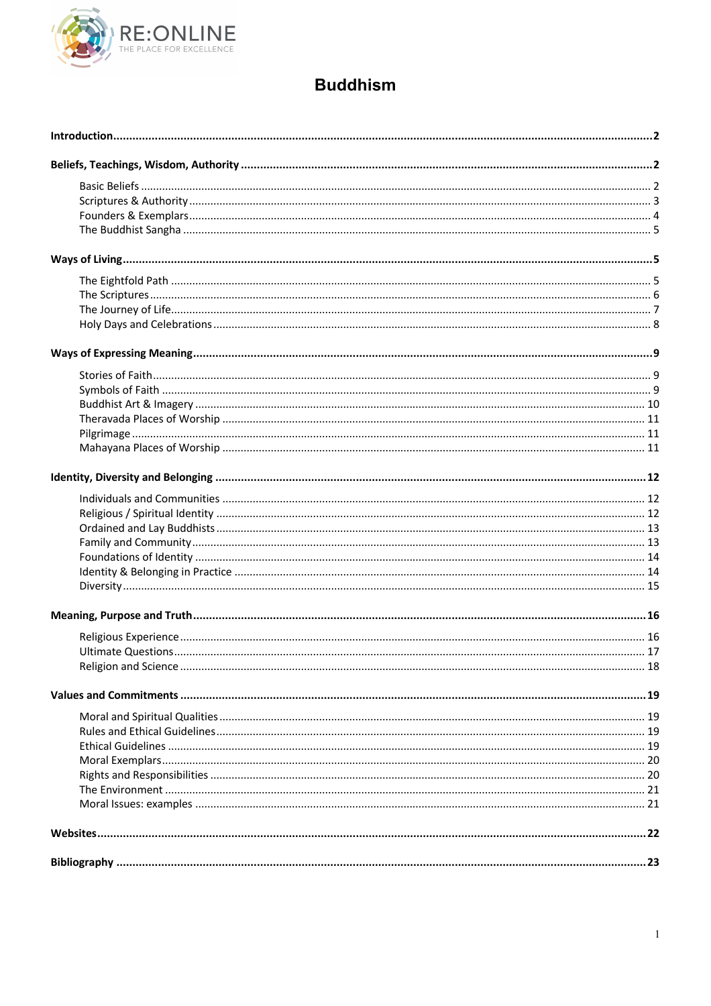

## **Buddhism**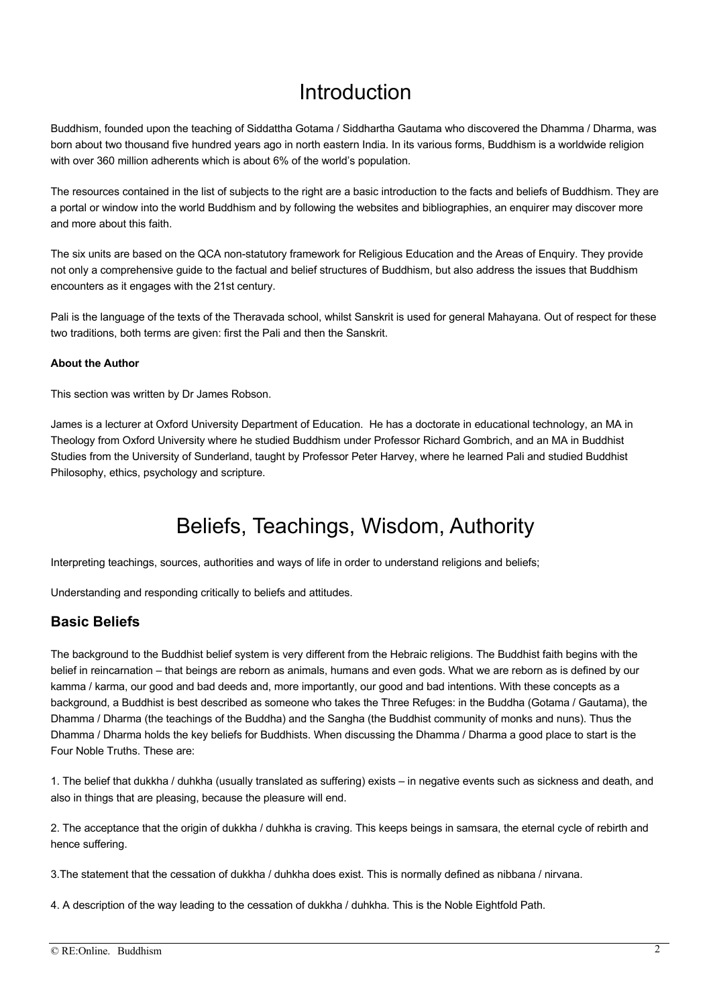## Introduction

Buddhism, founded upon the teaching of Siddattha Gotama / Siddhartha Gautama who discovered the Dhamma / Dharma, was born about two thousand five hundred years ago in north eastern India. In its various forms, Buddhism is a worldwide religion with over 360 million adherents which is about 6% of the world's population.

The resources contained in the list of subjects to the right are a basic introduction to the facts and beliefs of Buddhism. They are a portal or window into the world Buddhism and by following the websites and bibliographies, an enquirer may discover more and more about this faith.

The six units are based on the QCA non-statutory framework for Religious Education and the Areas of Enquiry. They provide not only a comprehensive guide to the factual and belief structures of Buddhism, but also address the issues that Buddhism encounters as it engages with the 21st century.

Pali is the language of the texts of the Theravada school, whilst Sanskrit is used for general Mahayana. Out of respect for these two traditions, both terms are given: first the Pali and then the Sanskrit.

#### **About the Author**

This section was written by Dr James Robson.

James is a lecturer at Oxford University Department of Education. He has a doctorate in educational technology, an MA in Theology from Oxford University where he studied Buddhism under Professor Richard Gombrich, and an MA in Buddhist Studies from the University of Sunderland, taught by Professor Peter Harvey, where he learned Pali and studied Buddhist Philosophy, ethics, psychology and scripture.

# Beliefs, Teachings, Wisdom, Authority

Interpreting teachings, sources, authorities and ways of life in order to understand religions and beliefs;

Understanding and responding critically to beliefs and attitudes.

#### **Basic Beliefs**

The background to the Buddhist belief system is very different from the Hebraic religions. The Buddhist faith begins with the belief in reincarnation – that beings are reborn as animals, humans and even gods. What we are reborn as is defined by our kamma / karma, our good and bad deeds and, more importantly, our good and bad intentions. With these concepts as a background, a Buddhist is best described as someone who takes the Three Refuges: in the Buddha (Gotama / Gautama), the Dhamma / Dharma (the teachings of the Buddha) and the Sangha (the Buddhist community of monks and nuns). Thus the Dhamma / Dharma holds the key beliefs for Buddhists. When discussing the Dhamma / Dharma a good place to start is the Four Noble Truths. These are:

1. The belief that dukkha / duhkha (usually translated as suffering) exists – in negative events such as sickness and death, and also in things that are pleasing, because the pleasure will end.

2. The acceptance that the origin of dukkha / duhkha is craving. This keeps beings in samsara, the eternal cycle of rebirth and hence suffering.

3.The statement that the cessation of dukkha / duhkha does exist. This is normally defined as nibbana / nirvana.

4. A description of the way leading to the cessation of dukkha / duhkha. This is the Noble Eightfold Path.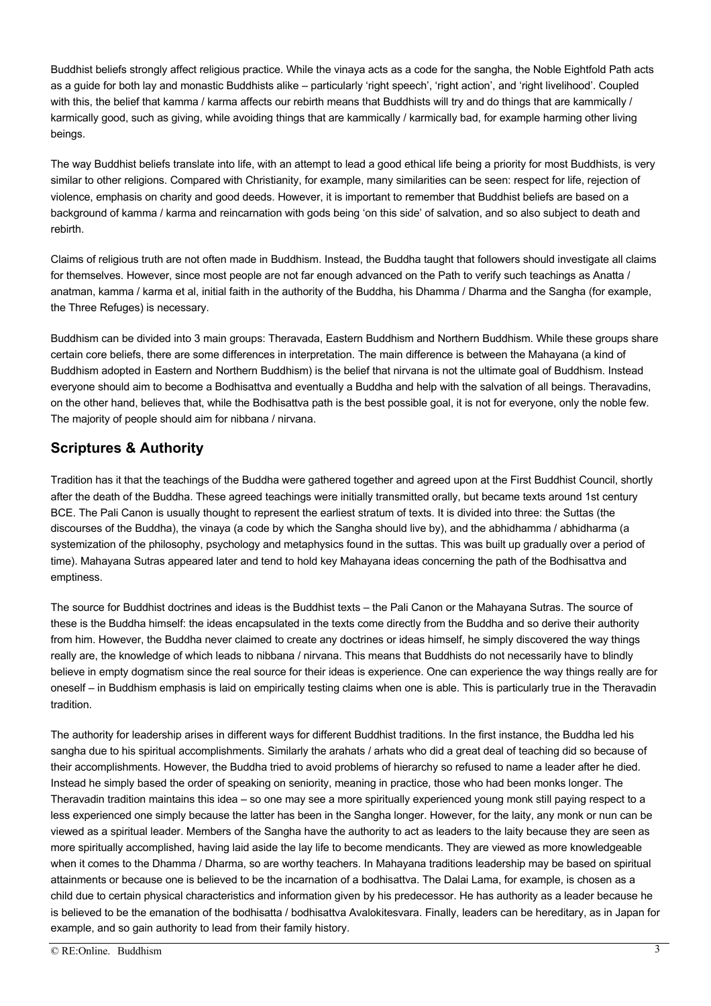Buddhist beliefs strongly affect religious practice. While the vinaya acts as a code for the sangha, the Noble Eightfold Path acts as a guide for both lay and monastic Buddhists alike – particularly 'right speech', 'right action', and 'right livelihood'. Coupled with this, the belief that kamma / karma affects our rebirth means that Buddhists will try and do things that are kammically / karmically good, such as giving, while avoiding things that are kammically / karmically bad, for example harming other living beings.

The way Buddhist beliefs translate into life, with an attempt to lead a good ethical life being a priority for most Buddhists, is very similar to other religions. Compared with Christianity, for example, many similarities can be seen: respect for life, rejection of violence, emphasis on charity and good deeds. However, it is important to remember that Buddhist beliefs are based on a background of kamma / karma and reincarnation with gods being 'on this side' of salvation, and so also subject to death and rebirth.

Claims of religious truth are not often made in Buddhism. Instead, the Buddha taught that followers should investigate all claims for themselves. However, since most people are not far enough advanced on the Path to verify such teachings as Anatta / anatman, kamma / karma et al, initial faith in the authority of the Buddha, his Dhamma / Dharma and the Sangha (for example, the Three Refuges) is necessary.

Buddhism can be divided into 3 main groups: Theravada, Eastern Buddhism and Northern Buddhism. While these groups share certain core beliefs, there are some differences in interpretation. The main difference is between the Mahayana (a kind of Buddhism adopted in Eastern and Northern Buddhism) is the belief that nirvana is not the ultimate goal of Buddhism. Instead everyone should aim to become a Bodhisattva and eventually a Buddha and help with the salvation of all beings. Theravadins, on the other hand, believes that, while the Bodhisattva path is the best possible goal, it is not for everyone, only the noble few. The majority of people should aim for nibbana / nirvana.

### **Scriptures & Authority**

Tradition has it that the teachings of the Buddha were gathered together and agreed upon at the First Buddhist Council, shortly after the death of the Buddha. These agreed teachings were initially transmitted orally, but became texts around 1st century BCE. The Pali Canon is usually thought to represent the earliest stratum of texts. It is divided into three: the Suttas (the discourses of the Buddha), the vinaya (a code by which the Sangha should live by), and the abhidhamma / abhidharma (a systemization of the philosophy, psychology and metaphysics found in the suttas. This was built up gradually over a period of time). Mahayana Sutras appeared later and tend to hold key Mahayana ideas concerning the path of the Bodhisattva and emptiness.

The source for Buddhist doctrines and ideas is the Buddhist texts – the Pali Canon or the Mahayana Sutras. The source of these is the Buddha himself: the ideas encapsulated in the texts come directly from the Buddha and so derive their authority from him. However, the Buddha never claimed to create any doctrines or ideas himself, he simply discovered the way things really are, the knowledge of which leads to nibbana / nirvana. This means that Buddhists do not necessarily have to blindly believe in empty dogmatism since the real source for their ideas is experience. One can experience the way things really are for oneself – in Buddhism emphasis is laid on empirically testing claims when one is able. This is particularly true in the Theravadin tradition.

The authority for leadership arises in different ways for different Buddhist traditions. In the first instance, the Buddha led his sangha due to his spiritual accomplishments. Similarly the arahats / arhats who did a great deal of teaching did so because of their accomplishments. However, the Buddha tried to avoid problems of hierarchy so refused to name a leader after he died. Instead he simply based the order of speaking on seniority, meaning in practice, those who had been monks longer. The Theravadin tradition maintains this idea – so one may see a more spiritually experienced young monk still paying respect to a less experienced one simply because the latter has been in the Sangha longer. However, for the laity, any monk or nun can be viewed as a spiritual leader. Members of the Sangha have the authority to act as leaders to the laity because they are seen as more spiritually accomplished, having laid aside the lay life to become mendicants. They are viewed as more knowledgeable when it comes to the Dhamma / Dharma, so are worthy teachers. In Mahayana traditions leadership may be based on spiritual attainments or because one is believed to be the incarnation of a bodhisattva. The Dalai Lama, for example, is chosen as a child due to certain physical characteristics and information given by his predecessor. He has authority as a leader because he is believed to be the emanation of the bodhisatta / bodhisattva Avalokitesvara. Finally, leaders can be hereditary, as in Japan for example, and so gain authority to lead from their family history.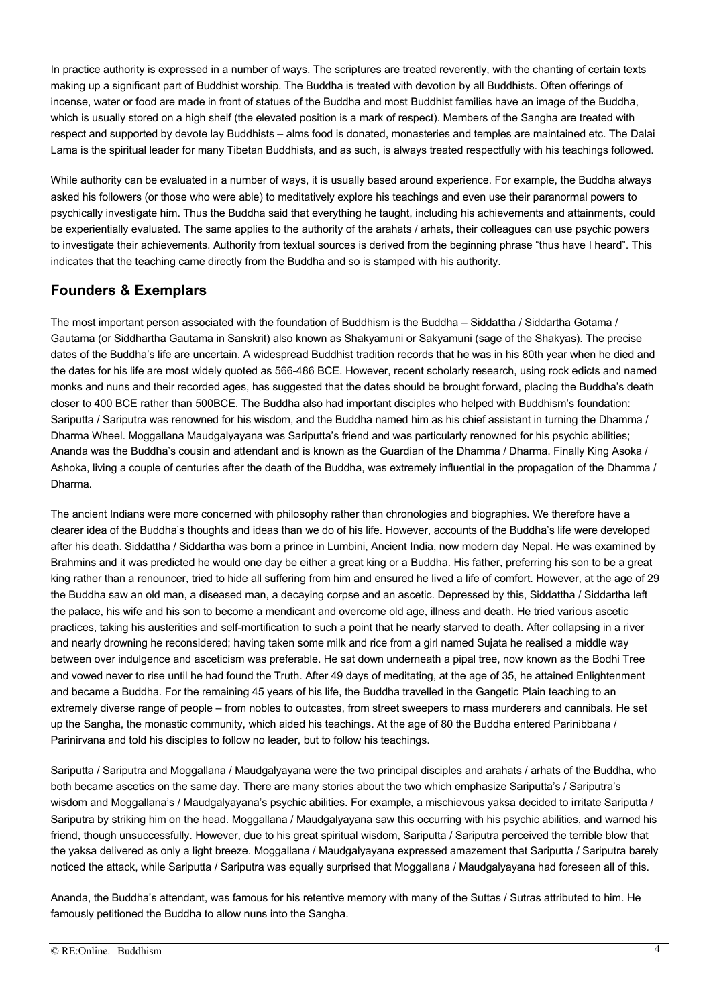In practice authority is expressed in a number of ways. The scriptures are treated reverently, with the chanting of certain texts making up a significant part of Buddhist worship. The Buddha is treated with devotion by all Buddhists. Often offerings of incense, water or food are made in front of statues of the Buddha and most Buddhist families have an image of the Buddha, which is usually stored on a high shelf (the elevated position is a mark of respect). Members of the Sangha are treated with respect and supported by devote lay Buddhists – alms food is donated, monasteries and temples are maintained etc. The Dalai Lama is the spiritual leader for many Tibetan Buddhists, and as such, is always treated respectfully with his teachings followed.

While authority can be evaluated in a number of ways, it is usually based around experience. For example, the Buddha always asked his followers (or those who were able) to meditatively explore his teachings and even use their paranormal powers to psychically investigate him. Thus the Buddha said that everything he taught, including his achievements and attainments, could be experientially evaluated. The same applies to the authority of the arahats / arhats, their colleagues can use psychic powers to investigate their achievements. Authority from textual sources is derived from the beginning phrase "thus have I heard". This indicates that the teaching came directly from the Buddha and so is stamped with his authority.

## **Founders & Exemplars**

The most important person associated with the foundation of Buddhism is the Buddha – Siddattha / Siddartha Gotama / Gautama (or Siddhartha Gautama in Sanskrit) also known as Shakyamuni or Sakyamuni (sage of the Shakyas). The precise dates of the Buddha's life are uncertain. A widespread Buddhist tradition records that he was in his 80th year when he died and the dates for his life are most widely quoted as 566-486 BCE. However, recent scholarly research, using rock edicts and named monks and nuns and their recorded ages, has suggested that the dates should be brought forward, placing the Buddha's death closer to 400 BCE rather than 500BCE. The Buddha also had important disciples who helped with Buddhism's foundation: Sariputta / Sariputra was renowned for his wisdom, and the Buddha named him as his chief assistant in turning the Dhamma / Dharma Wheel. Moggallana Maudgalyayana was Sariputta's friend and was particularly renowned for his psychic abilities; Ananda was the Buddha's cousin and attendant and is known as the Guardian of the Dhamma / Dharma. Finally King Asoka / Ashoka, living a couple of centuries after the death of the Buddha, was extremely influential in the propagation of the Dhamma / Dharma.

The ancient Indians were more concerned with philosophy rather than chronologies and biographies. We therefore have a clearer idea of the Buddha's thoughts and ideas than we do of his life. However, accounts of the Buddha's life were developed after his death. Siddattha / Siddartha was born a prince in Lumbini, Ancient India, now modern day Nepal. He was examined by Brahmins and it was predicted he would one day be either a great king or a Buddha. His father, preferring his son to be a great king rather than a renouncer, tried to hide all suffering from him and ensured he lived a life of comfort. However, at the age of 29 the Buddha saw an old man, a diseased man, a decaying corpse and an ascetic. Depressed by this, Siddattha / Siddartha left the palace, his wife and his son to become a mendicant and overcome old age, illness and death. He tried various ascetic practices, taking his austerities and self-mortification to such a point that he nearly starved to death. After collapsing in a river and nearly drowning he reconsidered; having taken some milk and rice from a girl named Sujata he realised a middle way between over indulgence and asceticism was preferable. He sat down underneath a pipal tree, now known as the Bodhi Tree and vowed never to rise until he had found the Truth. After 49 days of meditating, at the age of 35, he attained Enlightenment and became a Buddha. For the remaining 45 years of his life, the Buddha travelled in the Gangetic Plain teaching to an extremely diverse range of people – from nobles to outcastes, from street sweepers to mass murderers and cannibals. He set up the Sangha, the monastic community, which aided his teachings. At the age of 80 the Buddha entered Parinibbana / Parinirvana and told his disciples to follow no leader, but to follow his teachings.

Sariputta / Sariputra and Moggallana / Maudgalyayana were the two principal disciples and arahats / arhats of the Buddha, who both became ascetics on the same day. There are many stories about the two which emphasize Sariputta's / Sariputra's wisdom and Moggallana's / Maudgalyayana's psychic abilities. For example, a mischievous yaksa decided to irritate Sariputta / Sariputra by striking him on the head. Moggallana / Maudgalyayana saw this occurring with his psychic abilities, and warned his friend, though unsuccessfully. However, due to his great spiritual wisdom, Sariputta / Sariputra perceived the terrible blow that the yaksa delivered as only a light breeze. Moggallana / Maudgalyayana expressed amazement that Sariputta / Sariputra barely noticed the attack, while Sariputta / Sariputra was equally surprised that Moggallana / Maudgalyayana had foreseen all of this.

Ananda, the Buddha's attendant, was famous for his retentive memory with many of the Suttas / Sutras attributed to him. He famously petitioned the Buddha to allow nuns into the Sangha.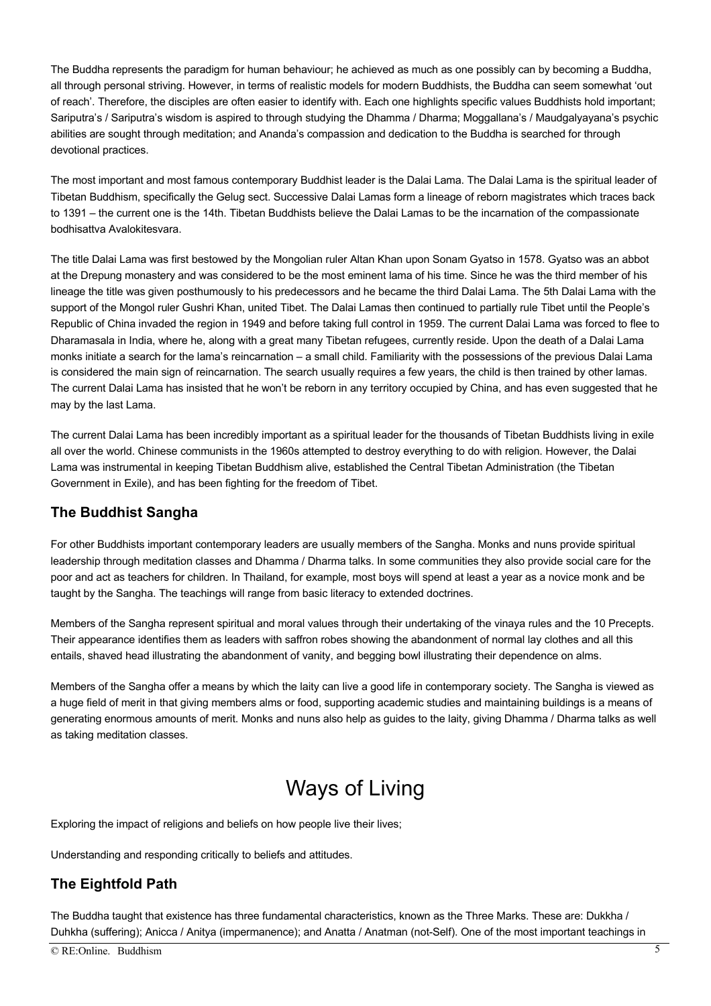The Buddha represents the paradigm for human behaviour; he achieved as much as one possibly can by becoming a Buddha, all through personal striving. However, in terms of realistic models for modern Buddhists, the Buddha can seem somewhat 'out of reach'. Therefore, the disciples are often easier to identify with. Each one highlights specific values Buddhists hold important; Sariputra's / Sariputra's wisdom is aspired to through studying the Dhamma / Dharma; Moggallana's / Maudgalyayana's psychic abilities are sought through meditation; and Ananda's compassion and dedication to the Buddha is searched for through devotional practices.

The most important and most famous contemporary Buddhist leader is the Dalai Lama. The Dalai Lama is the spiritual leader of Tibetan Buddhism, specifically the Gelug sect. Successive Dalai Lamas form a lineage of reborn magistrates which traces back to 1391 – the current one is the 14th. Tibetan Buddhists believe the Dalai Lamas to be the incarnation of the compassionate bodhisattva Avalokitesvara.

The title Dalai Lama was first bestowed by the Mongolian ruler Altan Khan upon Sonam Gyatso in 1578. Gyatso was an abbot at the Drepung monastery and was considered to be the most eminent lama of his time. Since he was the third member of his lineage the title was given posthumously to his predecessors and he became the third Dalai Lama. The 5th Dalai Lama with the support of the Mongol ruler Gushri Khan, united Tibet. The Dalai Lamas then continued to partially rule Tibet until the People's Republic of China invaded the region in 1949 and before taking full control in 1959. The current Dalai Lama was forced to flee to Dharamasala in India, where he, along with a great many Tibetan refugees, currently reside. Upon the death of a Dalai Lama monks initiate a search for the lama's reincarnation – a small child. Familiarity with the possessions of the previous Dalai Lama is considered the main sign of reincarnation. The search usually requires a few years, the child is then trained by other lamas. The current Dalai Lama has insisted that he won't be reborn in any territory occupied by China, and has even suggested that he may by the last Lama.

The current Dalai Lama has been incredibly important as a spiritual leader for the thousands of Tibetan Buddhists living in exile all over the world. Chinese communists in the 1960s attempted to destroy everything to do with religion. However, the Dalai Lama was instrumental in keeping Tibetan Buddhism alive, established the Central Tibetan Administration (the Tibetan Government in Exile), and has been fighting for the freedom of Tibet.

#### **The Buddhist Sangha**

For other Buddhists important contemporary leaders are usually members of the Sangha. Monks and nuns provide spiritual leadership through meditation classes and Dhamma / Dharma talks. In some communities they also provide social care for the poor and act as teachers for children. In Thailand, for example, most boys will spend at least a year as a novice monk and be taught by the Sangha. The teachings will range from basic literacy to extended doctrines.

Members of the Sangha represent spiritual and moral values through their undertaking of the vinaya rules and the 10 Precepts. Their appearance identifies them as leaders with saffron robes showing the abandonment of normal lay clothes and all this entails, shaved head illustrating the abandonment of vanity, and begging bowl illustrating their dependence on alms.

Members of the Sangha offer a means by which the laity can live a good life in contemporary society. The Sangha is viewed as a huge field of merit in that giving members alms or food, supporting academic studies and maintaining buildings is a means of generating enormous amounts of merit. Monks and nuns also help as guides to the laity, giving Dhamma / Dharma talks as well as taking meditation classes.

# Ways of Living

Exploring the impact of religions and beliefs on how people live their lives;

Understanding and responding critically to beliefs and attitudes.

### **The Eightfold Path**

The Buddha taught that existence has three fundamental characteristics, known as the Three Marks. These are: Dukkha / Duhkha (suffering); Anicca / Anitya (impermanence); and Anatta / Anatman (not-Self). One of the most important teachings in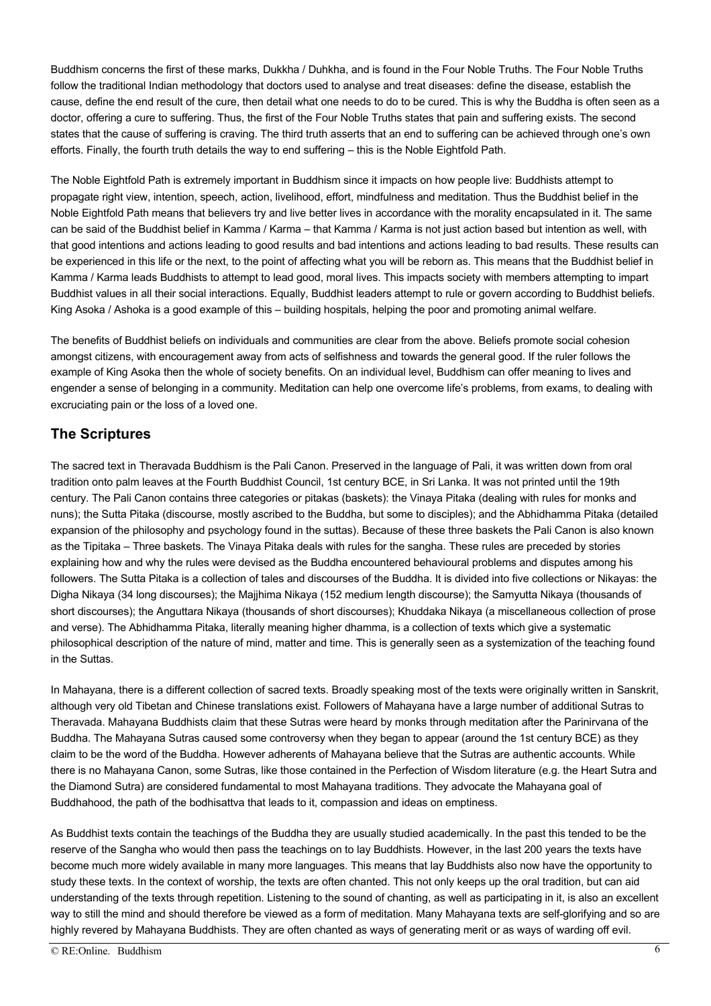Buddhism concerns the first of these marks, Dukkha / Duhkha, and is found in the Four Noble Truths. The Four Noble Truths follow the traditional Indian methodology that doctors used to analyse and treat diseases: define the disease, establish the cause, define the end result of the cure, then detail what one needs to do to be cured. This is why the Buddha is often seen as a doctor, offering a cure to suffering. Thus, the first of the Four Noble Truths states that pain and suffering exists. The second states that the cause of suffering is craving. The third truth asserts that an end to suffering can be achieved through one's own efforts. Finally, the fourth truth details the way to end suffering – this is the Noble Eightfold Path.

The Noble Eightfold Path is extremely important in Buddhism since it impacts on how people live: Buddhists attempt to propagate right view, intention, speech, action, livelihood, effort, mindfulness and meditation. Thus the Buddhist belief in the Noble Eightfold Path means that believers try and live better lives in accordance with the morality encapsulated in it. The same can be said of the Buddhist belief in Kamma / Karma – that Kamma / Karma is not just action based but intention as well, with that good intentions and actions leading to good results and bad intentions and actions leading to bad results. These results can be experienced in this life or the next, to the point of affecting what you will be reborn as. This means that the Buddhist belief in Kamma / Karma leads Buddhists to attempt to lead good, moral lives. This impacts society with members attempting to impart Buddhist values in all their social interactions. Equally, Buddhist leaders attempt to rule or govern according to Buddhist beliefs. King Asoka / Ashoka is a good example of this – building hospitals, helping the poor and promoting animal welfare.

The benefits of Buddhist beliefs on individuals and communities are clear from the above. Beliefs promote social cohesion amongst citizens, with encouragement away from acts of selfishness and towards the general good. If the ruler follows the example of King Asoka then the whole of society benefits. On an individual level, Buddhism can offer meaning to lives and engender a sense of belonging in a community. Meditation can help one overcome life's problems, from exams, to dealing with excruciating pain or the loss of a loved one.

### **The Scriptures**

The sacred text in Theravada Buddhism is the Pali Canon. Preserved in the language of Pali, it was written down from oral tradition onto palm leaves at the Fourth Buddhist Council, 1st century BCE, in Sri Lanka. It was not printed until the 19th century. The Pali Canon contains three categories or pitakas (baskets): the Vinaya Pitaka (dealing with rules for monks and nuns); the Sutta Pitaka (discourse, mostly ascribed to the Buddha, but some to disciples); and the Abhidhamma Pitaka (detailed expansion of the philosophy and psychology found in the suttas). Because of these three baskets the Pali Canon is also known as the Tipitaka – Three baskets. The Vinaya Pitaka deals with rules for the sangha. These rules are preceded by stories explaining how and why the rules were devised as the Buddha encountered behavioural problems and disputes among his followers. The Sutta Pitaka is a collection of tales and discourses of the Buddha. It is divided into five collections or Nikayas: the Digha Nikaya (34 long discourses); the Majjhima Nikaya (152 medium length discourse); the Samyutta Nikaya (thousands of short discourses); the Anguttara Nikaya (thousands of short discourses); Khuddaka Nikaya (a miscellaneous collection of prose and verse). The Abhidhamma Pitaka, literally meaning higher dhamma, is a collection of texts which give a systematic philosophical description of the nature of mind, matter and time. This is generally seen as a systemization of the teaching found in the Suttas.

In Mahayana, there is a different collection of sacred texts. Broadly speaking most of the texts were originally written in Sanskrit, although very old Tibetan and Chinese translations exist. Followers of Mahayana have a large number of additional Sutras to Theravada. Mahayana Buddhists claim that these Sutras were heard by monks through meditation after the Parinirvana of the Buddha. The Mahayana Sutras caused some controversy when they began to appear (around the 1st century BCE) as they claim to be the word of the Buddha. However adherents of Mahayana believe that the Sutras are authentic accounts. While there is no Mahayana Canon, some Sutras, like those contained in the Perfection of Wisdom literature (e.g. the Heart Sutra and the Diamond Sutra) are considered fundamental to most Mahayana traditions. They advocate the Mahayana goal of Buddhahood, the path of the bodhisattva that leads to it, compassion and ideas on emptiness.

As Buddhist texts contain the teachings of the Buddha they are usually studied academically. In the past this tended to be the reserve of the Sangha who would then pass the teachings on to lay Buddhists. However, in the last 200 years the texts have become much more widely available in many more languages. This means that lay Buddhists also now have the opportunity to study these texts. In the context of worship, the texts are often chanted. This not only keeps up the oral tradition, but can aid understanding of the texts through repetition. Listening to the sound of chanting, as well as participating in it, is also an excellent way to still the mind and should therefore be viewed as a form of meditation. Many Mahayana texts are self-glorifying and so are highly revered by Mahayana Buddhists. They are often chanted as ways of generating merit or as ways of warding off evil.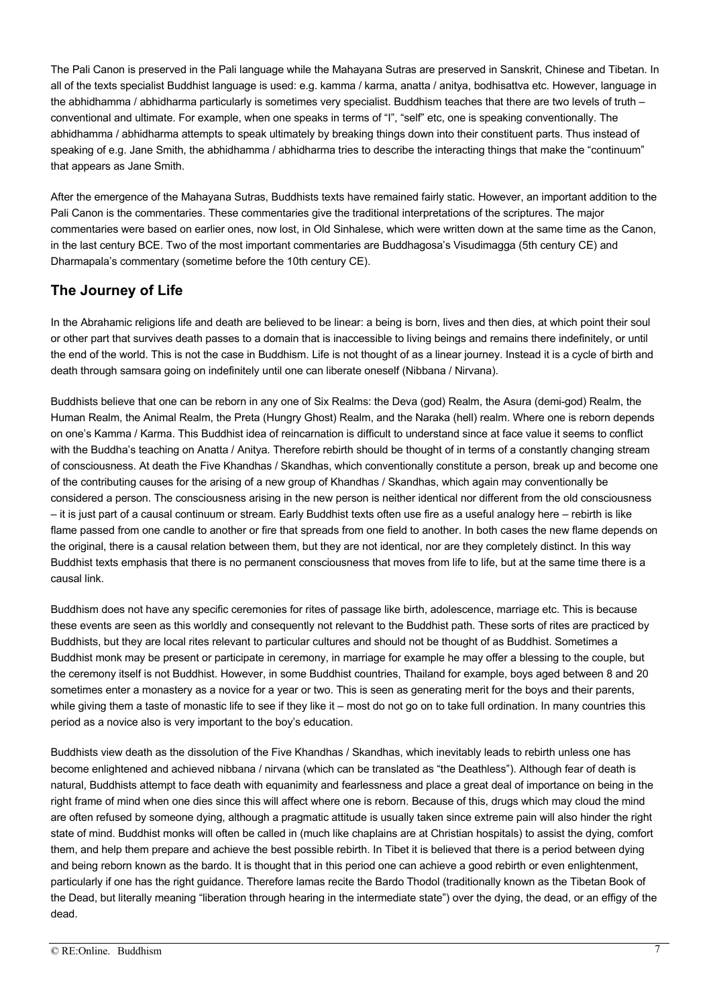The Pali Canon is preserved in the Pali language while the Mahayana Sutras are preserved in Sanskrit, Chinese and Tibetan. In all of the texts specialist Buddhist language is used: e.g. kamma / karma, anatta / anitya, bodhisattva etc. However, language in the abhidhamma / abhidharma particularly is sometimes very specialist. Buddhism teaches that there are two levels of truth – conventional and ultimate. For example, when one speaks in terms of "I", "self" etc, one is speaking conventionally. The abhidhamma / abhidharma attempts to speak ultimately by breaking things down into their constituent parts. Thus instead of speaking of e.g. Jane Smith, the abhidhamma / abhidharma tries to describe the interacting things that make the "continuum" that appears as Jane Smith.

After the emergence of the Mahayana Sutras, Buddhists texts have remained fairly static. However, an important addition to the Pali Canon is the commentaries. These commentaries give the traditional interpretations of the scriptures. The major commentaries were based on earlier ones, now lost, in Old Sinhalese, which were written down at the same time as the Canon, in the last century BCE. Two of the most important commentaries are Buddhagosa's Visudimagga (5th century CE) and Dharmapala's commentary (sometime before the 10th century CE).

### **The Journey of Life**

In the Abrahamic religions life and death are believed to be linear: a being is born, lives and then dies, at which point their soul or other part that survives death passes to a domain that is inaccessible to living beings and remains there indefinitely, or until the end of the world. This is not the case in Buddhism. Life is not thought of as a linear journey. Instead it is a cycle of birth and death through samsara going on indefinitely until one can liberate oneself (Nibbana / Nirvana).

Buddhists believe that one can be reborn in any one of Six Realms: the Deva (god) Realm, the Asura (demi-god) Realm, the Human Realm, the Animal Realm, the Preta (Hungry Ghost) Realm, and the Naraka (hell) realm. Where one is reborn depends on one's Kamma / Karma. This Buddhist idea of reincarnation is difficult to understand since at face value it seems to conflict with the Buddha's teaching on Anatta / Anitya. Therefore rebirth should be thought of in terms of a constantly changing stream of consciousness. At death the Five Khandhas / Skandhas, which conventionally constitute a person, break up and become one of the contributing causes for the arising of a new group of Khandhas / Skandhas, which again may conventionally be considered a person. The consciousness arising in the new person is neither identical nor different from the old consciousness – it is just part of a causal continuum or stream. Early Buddhist texts often use fire as a useful analogy here – rebirth is like flame passed from one candle to another or fire that spreads from one field to another. In both cases the new flame depends on the original, there is a causal relation between them, but they are not identical, nor are they completely distinct. In this way Buddhist texts emphasis that there is no permanent consciousness that moves from life to life, but at the same time there is a causal link.

Buddhism does not have any specific ceremonies for rites of passage like birth, adolescence, marriage etc. This is because these events are seen as this worldly and consequently not relevant to the Buddhist path. These sorts of rites are practiced by Buddhists, but they are local rites relevant to particular cultures and should not be thought of as Buddhist. Sometimes a Buddhist monk may be present or participate in ceremony, in marriage for example he may offer a blessing to the couple, but the ceremony itself is not Buddhist. However, in some Buddhist countries, Thailand for example, boys aged between 8 and 20 sometimes enter a monastery as a novice for a year or two. This is seen as generating merit for the boys and their parents, while giving them a taste of monastic life to see if they like it – most do not go on to take full ordination. In many countries this period as a novice also is very important to the boy's education.

Buddhists view death as the dissolution of the Five Khandhas / Skandhas, which inevitably leads to rebirth unless one has become enlightened and achieved nibbana / nirvana (which can be translated as "the Deathless"). Although fear of death is natural, Buddhists attempt to face death with equanimity and fearlessness and place a great deal of importance on being in the right frame of mind when one dies since this will affect where one is reborn. Because of this, drugs which may cloud the mind are often refused by someone dying, although a pragmatic attitude is usually taken since extreme pain will also hinder the right state of mind. Buddhist monks will often be called in (much like chaplains are at Christian hospitals) to assist the dying, comfort them, and help them prepare and achieve the best possible rebirth. In Tibet it is believed that there is a period between dying and being reborn known as the bardo. It is thought that in this period one can achieve a good rebirth or even enlightenment, particularly if one has the right guidance. Therefore lamas recite the Bardo Thodol (traditionally known as the Tibetan Book of the Dead, but literally meaning "liberation through hearing in the intermediate state") over the dying, the dead, or an effigy of the dead.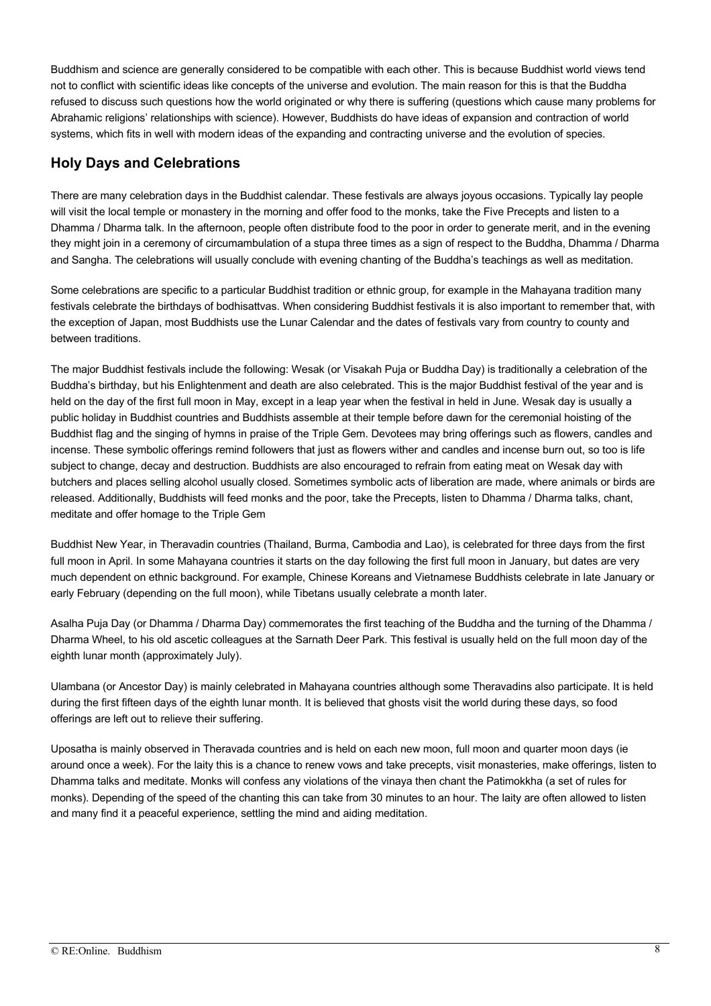Buddhism and science are generally considered to be compatible with each other. This is because Buddhist world views tend not to conflict with scientific ideas like concepts of the universe and evolution. The main reason for this is that the Buddha refused to discuss such questions how the world originated or why there is suffering (questions which cause many problems for Abrahamic religions' relationships with science). However, Buddhists do have ideas of expansion and contraction of world systems, which fits in well with modern ideas of the expanding and contracting universe and the evolution of species.

#### **Holy Days and Celebrations**

There are many celebration days in the Buddhist calendar. These festivals are always joyous occasions. Typically lay people will visit the local temple or monastery in the morning and offer food to the monks, take the Five Precepts and listen to a Dhamma / Dharma talk. In the afternoon, people often distribute food to the poor in order to generate merit, and in the evening they might join in a ceremony of circumambulation of a stupa three times as a sign of respect to the Buddha, Dhamma / Dharma and Sangha. The celebrations will usually conclude with evening chanting of the Buddha's teachings as well as meditation.

Some celebrations are specific to a particular Buddhist tradition or ethnic group, for example in the Mahayana tradition many festivals celebrate the birthdays of bodhisattvas. When considering Buddhist festivals it is also important to remember that, with the exception of Japan, most Buddhists use the Lunar Calendar and the dates of festivals vary from country to county and between traditions.

The major Buddhist festivals include the following: Wesak (or Visakah Puja or Buddha Day) is traditionally a celebration of the Buddha's birthday, but his Enlightenment and death are also celebrated. This is the major Buddhist festival of the year and is held on the day of the first full moon in May, except in a leap year when the festival in held in June. Wesak day is usually a public holiday in Buddhist countries and Buddhists assemble at their temple before dawn for the ceremonial hoisting of the Buddhist flag and the singing of hymns in praise of the Triple Gem. Devotees may bring offerings such as flowers, candles and incense. These symbolic offerings remind followers that just as flowers wither and candles and incense burn out, so too is life subject to change, decay and destruction. Buddhists are also encouraged to refrain from eating meat on Wesak day with butchers and places selling alcohol usually closed. Sometimes symbolic acts of liberation are made, where animals or birds are released. Additionally, Buddhists will feed monks and the poor, take the Precepts, listen to Dhamma / Dharma talks, chant, meditate and offer homage to the Triple Gem

Buddhist New Year, in Theravadin countries (Thailand, Burma, Cambodia and Lao), is celebrated for three days from the first full moon in April. In some Mahayana countries it starts on the day following the first full moon in January, but dates are very much dependent on ethnic background. For example, Chinese Koreans and Vietnamese Buddhists celebrate in late January or early February (depending on the full moon), while Tibetans usually celebrate a month later.

Asalha Puja Day (or Dhamma / Dharma Day) commemorates the first teaching of the Buddha and the turning of the Dhamma / Dharma Wheel, to his old ascetic colleagues at the Sarnath Deer Park. This festival is usually held on the full moon day of the eighth lunar month (approximately July).

Ulambana (or Ancestor Day) is mainly celebrated in Mahayana countries although some Theravadins also participate. It is held during the first fifteen days of the eighth lunar month. It is believed that ghosts visit the world during these days, so food offerings are left out to relieve their suffering.

Uposatha is mainly observed in Theravada countries and is held on each new moon, full moon and quarter moon days (ie around once a week). For the laity this is a chance to renew vows and take precepts, visit monasteries, make offerings, listen to Dhamma talks and meditate. Monks will confess any violations of the vinaya then chant the Patimokkha (a set of rules for monks). Depending of the speed of the chanting this can take from 30 minutes to an hour. The laity are often allowed to listen and many find it a peaceful experience, settling the mind and aiding meditation.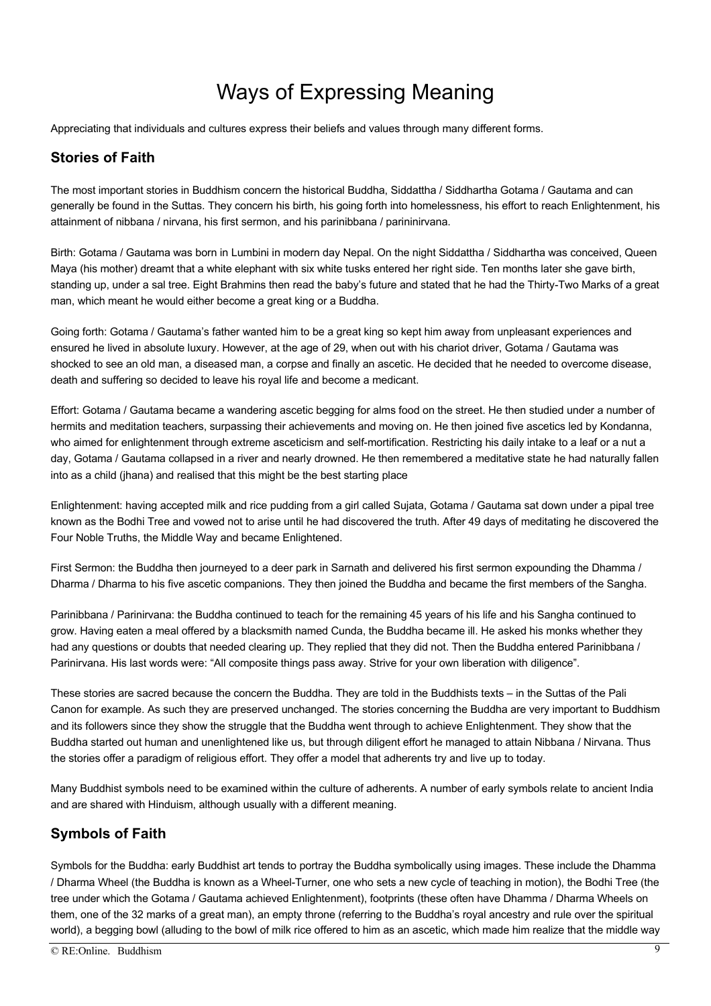## Ways of Expressing Meaning

Appreciating that individuals and cultures express their beliefs and values through many different forms.

## **Stories of Faith**

The most important stories in Buddhism concern the historical Buddha, Siddattha / Siddhartha Gotama / Gautama and can generally be found in the Suttas. They concern his birth, his going forth into homelessness, his effort to reach Enlightenment, his attainment of nibbana / nirvana, his first sermon, and his parinibbana / parininirvana.

Birth: Gotama / Gautama was born in Lumbini in modern day Nepal. On the night Siddattha / Siddhartha was conceived, Queen Maya (his mother) dreamt that a white elephant with six white tusks entered her right side. Ten months later she gave birth, standing up, under a sal tree. Eight Brahmins then read the baby's future and stated that he had the Thirty-Two Marks of a great man, which meant he would either become a great king or a Buddha.

Going forth: Gotama / Gautama's father wanted him to be a great king so kept him away from unpleasant experiences and ensured he lived in absolute luxury. However, at the age of 29, when out with his chariot driver, Gotama / Gautama was shocked to see an old man, a diseased man, a corpse and finally an ascetic. He decided that he needed to overcome disease, death and suffering so decided to leave his royal life and become a medicant.

Effort: Gotama / Gautama became a wandering ascetic begging for alms food on the street. He then studied under a number of hermits and meditation teachers, surpassing their achievements and moving on. He then joined five ascetics led by Kondanna, who aimed for enlightenment through extreme asceticism and self-mortification. Restricting his daily intake to a leaf or a nut a day, Gotama / Gautama collapsed in a river and nearly drowned. He then remembered a meditative state he had naturally fallen into as a child (jhana) and realised that this might be the best starting place

Enlightenment: having accepted milk and rice pudding from a girl called Sujata, Gotama / Gautama sat down under a pipal tree known as the Bodhi Tree and vowed not to arise until he had discovered the truth. After 49 days of meditating he discovered the Four Noble Truths, the Middle Way and became Enlightened.

First Sermon: the Buddha then journeyed to a deer park in Sarnath and delivered his first sermon expounding the Dhamma / Dharma / Dharma to his five ascetic companions. They then joined the Buddha and became the first members of the Sangha.

Parinibbana / Parinirvana: the Buddha continued to teach for the remaining 45 years of his life and his Sangha continued to grow. Having eaten a meal offered by a blacksmith named Cunda, the Buddha became ill. He asked his monks whether they had any questions or doubts that needed clearing up. They replied that they did not. Then the Buddha entered Parinibbana / Parinirvana. His last words were: "All composite things pass away. Strive for your own liberation with diligence".

These stories are sacred because the concern the Buddha. They are told in the Buddhists texts – in the Suttas of the Pali Canon for example. As such they are preserved unchanged. The stories concerning the Buddha are very important to Buddhism and its followers since they show the struggle that the Buddha went through to achieve Enlightenment. They show that the Buddha started out human and unenlightened like us, but through diligent effort he managed to attain Nibbana / Nirvana. Thus the stories offer a paradigm of religious effort. They offer a model that adherents try and live up to today.

Many Buddhist symbols need to be examined within the culture of adherents. A number of early symbols relate to ancient India and are shared with Hinduism, although usually with a different meaning.

#### **Symbols of Faith**

Symbols for the Buddha: early Buddhist art tends to portray the Buddha symbolically using images. These include the Dhamma / Dharma Wheel (the Buddha is known as a Wheel-Turner, one who sets a new cycle of teaching in motion), the Bodhi Tree (the tree under which the Gotama / Gautama achieved Enlightenment), footprints (these often have Dhamma / Dharma Wheels on them, one of the 32 marks of a great man), an empty throne (referring to the Buddha's royal ancestry and rule over the spiritual world), a begging bowl (alluding to the bowl of milk rice offered to him as an ascetic, which made him realize that the middle way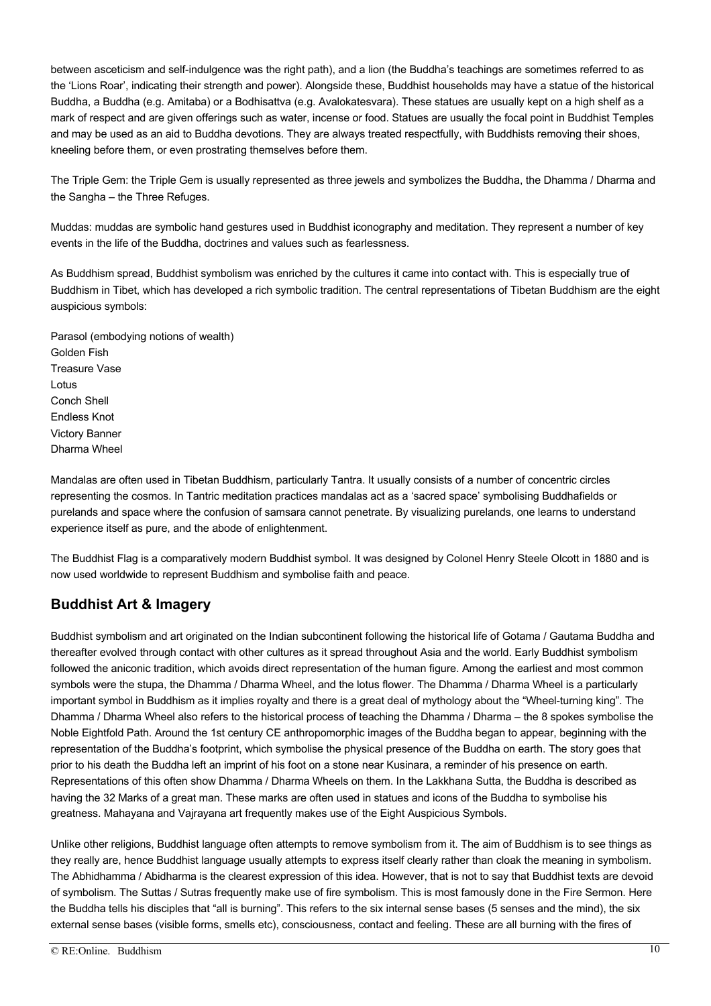between asceticism and self-indulgence was the right path), and a lion (the Buddha's teachings are sometimes referred to as the 'Lions Roar', indicating their strength and power). Alongside these, Buddhist households may have a statue of the historical Buddha, a Buddha (e.g. Amitaba) or a Bodhisattva (e.g. Avalokatesvara). These statues are usually kept on a high shelf as a mark of respect and are given offerings such as water, incense or food. Statues are usually the focal point in Buddhist Temples and may be used as an aid to Buddha devotions. They are always treated respectfully, with Buddhists removing their shoes, kneeling before them, or even prostrating themselves before them.

The Triple Gem: the Triple Gem is usually represented as three jewels and symbolizes the Buddha, the Dhamma / Dharma and the Sangha – the Three Refuges.

Muddas: muddas are symbolic hand gestures used in Buddhist iconography and meditation. They represent a number of key events in the life of the Buddha, doctrines and values such as fearlessness.

As Buddhism spread, Buddhist symbolism was enriched by the cultures it came into contact with. This is especially true of Buddhism in Tibet, which has developed a rich symbolic tradition. The central representations of Tibetan Buddhism are the eight auspicious symbols:

Parasol (embodying notions of wealth) Golden Fish Treasure Vase Lotus Conch Shell Endless Knot Victory Banner Dharma Wheel

Mandalas are often used in Tibetan Buddhism, particularly Tantra. It usually consists of a number of concentric circles representing the cosmos. In Tantric meditation practices mandalas act as a 'sacred space' symbolising Buddhafields or purelands and space where the confusion of samsara cannot penetrate. By visualizing purelands, one learns to understand experience itself as pure, and the abode of enlightenment.

The Buddhist Flag is a comparatively modern Buddhist symbol. It was designed by Colonel Henry Steele Olcott in 1880 and is now used worldwide to represent Buddhism and symbolise faith and peace.

### **Buddhist Art & Imagery**

Buddhist symbolism and art originated on the Indian subcontinent following the historical life of Gotama / Gautama Buddha and thereafter evolved through contact with other cultures as it spread throughout Asia and the world. Early Buddhist symbolism followed the aniconic tradition, which avoids direct representation of the human figure. Among the earliest and most common symbols were the stupa, the Dhamma / Dharma Wheel, and the lotus flower. The Dhamma / Dharma Wheel is a particularly important symbol in Buddhism as it implies royalty and there is a great deal of mythology about the "Wheel-turning king". The Dhamma / Dharma Wheel also refers to the historical process of teaching the Dhamma / Dharma – the 8 spokes symbolise the Noble Eightfold Path. Around the 1st century CE anthropomorphic images of the Buddha began to appear, beginning with the representation of the Buddha's footprint, which symbolise the physical presence of the Buddha on earth. The story goes that prior to his death the Buddha left an imprint of his foot on a stone near Kusinara, a reminder of his presence on earth. Representations of this often show Dhamma / Dharma Wheels on them. In the Lakkhana Sutta, the Buddha is described as having the 32 Marks of a great man. These marks are often used in statues and icons of the Buddha to symbolise his greatness. Mahayana and Vajrayana art frequently makes use of the Eight Auspicious Symbols.

Unlike other religions, Buddhist language often attempts to remove symbolism from it. The aim of Buddhism is to see things as they really are, hence Buddhist language usually attempts to express itself clearly rather than cloak the meaning in symbolism. The Abhidhamma / Abidharma is the clearest expression of this idea. However, that is not to say that Buddhist texts are devoid of symbolism. The Suttas / Sutras frequently make use of fire symbolism. This is most famously done in the Fire Sermon. Here the Buddha tells his disciples that "all is burning". This refers to the six internal sense bases (5 senses and the mind), the six external sense bases (visible forms, smells etc), consciousness, contact and feeling. These are all burning with the fires of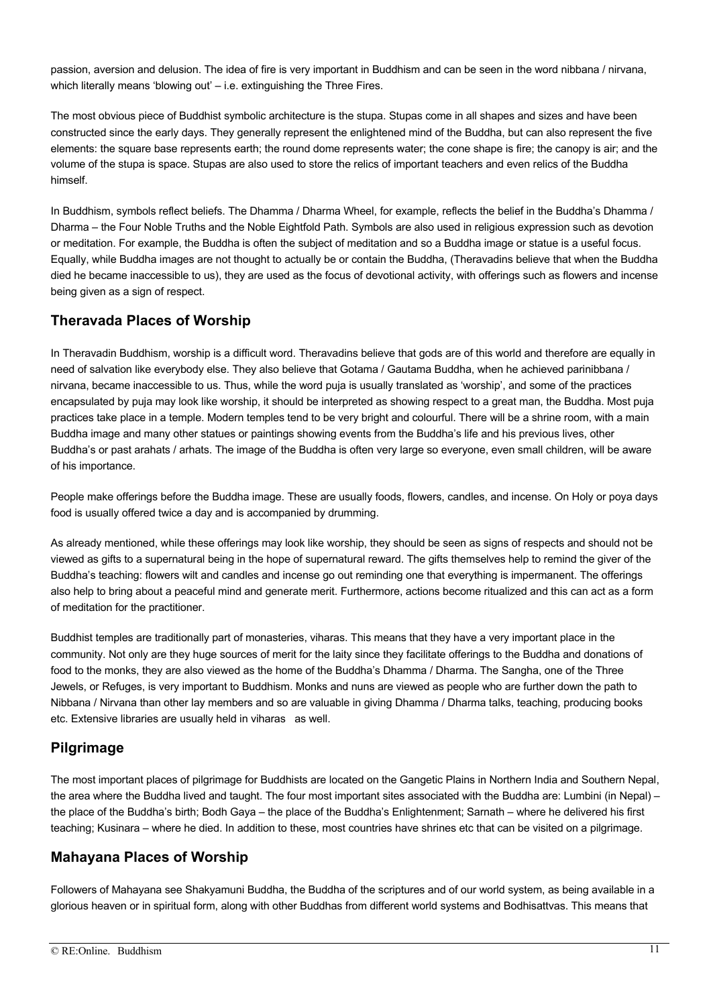passion, aversion and delusion. The idea of fire is very important in Buddhism and can be seen in the word nibbana / nirvana, which literally means 'blowing out' – i.e. extinguishing the Three Fires.

The most obvious piece of Buddhist symbolic architecture is the stupa. Stupas come in all shapes and sizes and have been constructed since the early days. They generally represent the enlightened mind of the Buddha, but can also represent the five elements: the square base represents earth; the round dome represents water; the cone shape is fire; the canopy is air; and the volume of the stupa is space. Stupas are also used to store the relics of important teachers and even relics of the Buddha himself.

In Buddhism, symbols reflect beliefs. The Dhamma / Dharma Wheel, for example, reflects the belief in the Buddha's Dhamma / Dharma – the Four Noble Truths and the Noble Eightfold Path. Symbols are also used in religious expression such as devotion or meditation. For example, the Buddha is often the subject of meditation and so a Buddha image or statue is a useful focus. Equally, while Buddha images are not thought to actually be or contain the Buddha, (Theravadins believe that when the Buddha died he became inaccessible to us), they are used as the focus of devotional activity, with offerings such as flowers and incense being given as a sign of respect.

#### **Theravada Places of Worship**

In Theravadin Buddhism, worship is a difficult word. Theravadins believe that gods are of this world and therefore are equally in need of salvation like everybody else. They also believe that Gotama / Gautama Buddha, when he achieved parinibbana / nirvana, became inaccessible to us. Thus, while the word puja is usually translated as 'worship', and some of the practices encapsulated by puja may look like worship, it should be interpreted as showing respect to a great man, the Buddha. Most puja practices take place in a temple. Modern temples tend to be very bright and colourful. There will be a shrine room, with a main Buddha image and many other statues or paintings showing events from the Buddha's life and his previous lives, other Buddha's or past arahats / arhats. The image of the Buddha is often very large so everyone, even small children, will be aware of his importance.

People make offerings before the Buddha image. These are usually foods, flowers, candles, and incense. On Holy or poya days food is usually offered twice a day and is accompanied by drumming.

As already mentioned, while these offerings may look like worship, they should be seen as signs of respects and should not be viewed as gifts to a supernatural being in the hope of supernatural reward. The gifts themselves help to remind the giver of the Buddha's teaching: flowers wilt and candles and incense go out reminding one that everything is impermanent. The offerings also help to bring about a peaceful mind and generate merit. Furthermore, actions become ritualized and this can act as a form of meditation for the practitioner.

Buddhist temples are traditionally part of monasteries, viharas. This means that they have a very important place in the community. Not only are they huge sources of merit for the laity since they facilitate offerings to the Buddha and donations of food to the monks, they are also viewed as the home of the Buddha's Dhamma / Dharma. The Sangha, one of the Three Jewels, or Refuges, is very important to Buddhism. Monks and nuns are viewed as people who are further down the path to Nibbana / Nirvana than other lay members and so are valuable in giving Dhamma / Dharma talks, teaching, producing books etc. Extensive libraries are usually held in viharas as well.

#### **Pilgrimage**

The most important places of pilgrimage for Buddhists are located on the Gangetic Plains in Northern India and Southern Nepal, the area where the Buddha lived and taught. The four most important sites associated with the Buddha are: Lumbini (in Nepal) – the place of the Buddha's birth; Bodh Gaya – the place of the Buddha's Enlightenment; Sarnath – where he delivered his first teaching; Kusinara – where he died. In addition to these, most countries have shrines etc that can be visited on a pilgrimage.

#### **Mahayana Places of Worship**

Followers of Mahayana see Shakyamuni Buddha, the Buddha of the scriptures and of our world system, as being available in a glorious heaven or in spiritual form, along with other Buddhas from different world systems and Bodhisattvas. This means that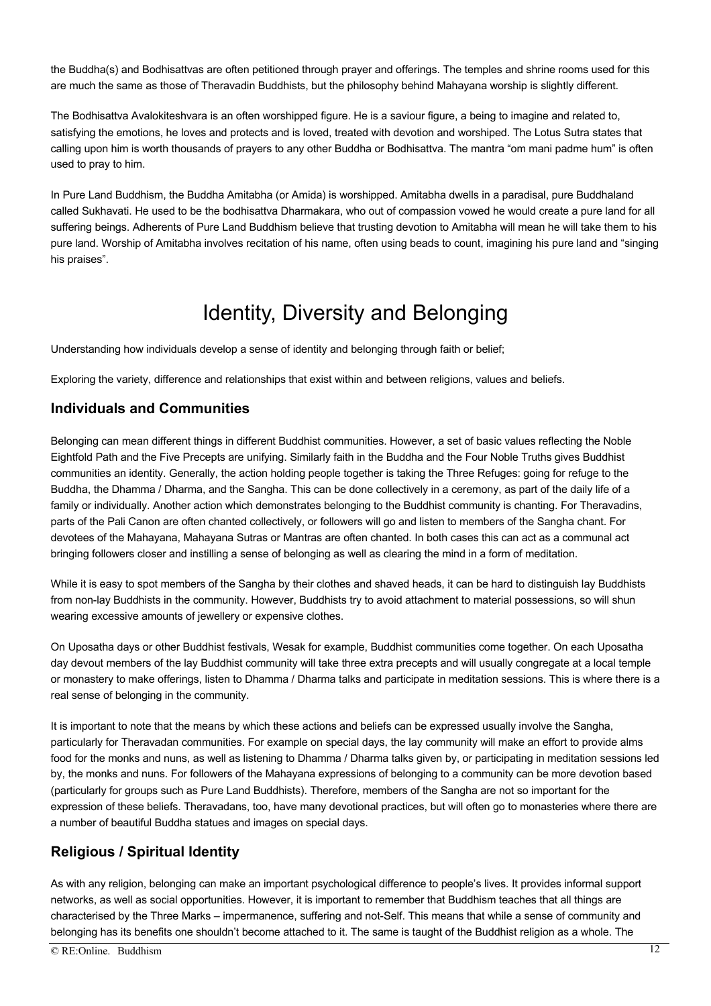the Buddha(s) and Bodhisattvas are often petitioned through prayer and offerings. The temples and shrine rooms used for this are much the same as those of Theravadin Buddhists, but the philosophy behind Mahayana worship is slightly different.

The Bodhisattva Avalokiteshvara is an often worshipped figure. He is a saviour figure, a being to imagine and related to, satisfying the emotions, he loves and protects and is loved, treated with devotion and worshiped. The Lotus Sutra states that calling upon him is worth thousands of prayers to any other Buddha or Bodhisattva. The mantra "om mani padme hum" is often used to pray to him.

In Pure Land Buddhism, the Buddha Amitabha (or Amida) is worshipped. Amitabha dwells in a paradisal, pure Buddhaland called Sukhavati. He used to be the bodhisattva Dharmakara, who out of compassion vowed he would create a pure land for all suffering beings. Adherents of Pure Land Buddhism believe that trusting devotion to Amitabha will mean he will take them to his pure land. Worship of Amitabha involves recitation of his name, often using beads to count, imagining his pure land and "singing his praises".

## Identity, Diversity and Belonging

Understanding how individuals develop a sense of identity and belonging through faith or belief;

Exploring the variety, difference and relationships that exist within and between religions, values and beliefs.

#### **Individuals and Communities**

Belonging can mean different things in different Buddhist communities. However, a set of basic values reflecting the Noble Eightfold Path and the Five Precepts are unifying. Similarly faith in the Buddha and the Four Noble Truths gives Buddhist communities an identity. Generally, the action holding people together is taking the Three Refuges: going for refuge to the Buddha, the Dhamma / Dharma, and the Sangha. This can be done collectively in a ceremony, as part of the daily life of a family or individually. Another action which demonstrates belonging to the Buddhist community is chanting. For Theravadins, parts of the Pali Canon are often chanted collectively, or followers will go and listen to members of the Sangha chant. For devotees of the Mahayana, Mahayana Sutras or Mantras are often chanted. In both cases this can act as a communal act bringing followers closer and instilling a sense of belonging as well as clearing the mind in a form of meditation.

While it is easy to spot members of the Sangha by their clothes and shaved heads, it can be hard to distinguish lay Buddhists from non-lay Buddhists in the community. However, Buddhists try to avoid attachment to material possessions, so will shun wearing excessive amounts of jewellery or expensive clothes.

On Uposatha days or other Buddhist festivals, Wesak for example, Buddhist communities come together. On each Uposatha day devout members of the lay Buddhist community will take three extra precepts and will usually congregate at a local temple or monastery to make offerings, listen to Dhamma / Dharma talks and participate in meditation sessions. This is where there is a real sense of belonging in the community.

It is important to note that the means by which these actions and beliefs can be expressed usually involve the Sangha, particularly for Theravadan communities. For example on special days, the lay community will make an effort to provide alms food for the monks and nuns, as well as listening to Dhamma / Dharma talks given by, or participating in meditation sessions led by, the monks and nuns. For followers of the Mahayana expressions of belonging to a community can be more devotion based (particularly for groups such as Pure Land Buddhists). Therefore, members of the Sangha are not so important for the expression of these beliefs. Theravadans, too, have many devotional practices, but will often go to monasteries where there are a number of beautiful Buddha statues and images on special days.

### **Religious / Spiritual Identity**

As with any religion, belonging can make an important psychological difference to people's lives. It provides informal support networks, as well as social opportunities. However, it is important to remember that Buddhism teaches that all things are characterised by the Three Marks – impermanence, suffering and not-Self. This means that while a sense of community and belonging has its benefits one shouldn't become attached to it. The same is taught of the Buddhist religion as a whole. The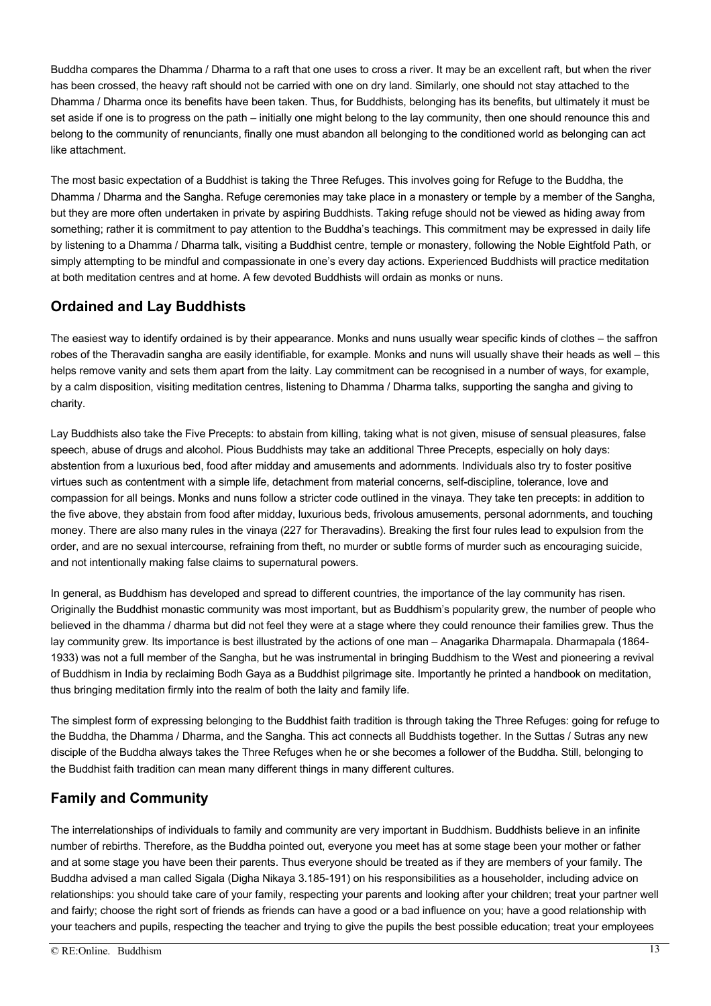Buddha compares the Dhamma / Dharma to a raft that one uses to cross a river. It may be an excellent raft, but when the river has been crossed, the heavy raft should not be carried with one on dry land. Similarly, one should not stay attached to the Dhamma / Dharma once its benefits have been taken. Thus, for Buddhists, belonging has its benefits, but ultimately it must be set aside if one is to progress on the path – initially one might belong to the lay community, then one should renounce this and belong to the community of renunciants, finally one must abandon all belonging to the conditioned world as belonging can act like attachment.

The most basic expectation of a Buddhist is taking the Three Refuges. This involves going for Refuge to the Buddha, the Dhamma / Dharma and the Sangha. Refuge ceremonies may take place in a monastery or temple by a member of the Sangha, but they are more often undertaken in private by aspiring Buddhists. Taking refuge should not be viewed as hiding away from something; rather it is commitment to pay attention to the Buddha's teachings. This commitment may be expressed in daily life by listening to a Dhamma / Dharma talk, visiting a Buddhist centre, temple or monastery, following the Noble Eightfold Path, or simply attempting to be mindful and compassionate in one's every day actions. Experienced Buddhists will practice meditation at both meditation centres and at home. A few devoted Buddhists will ordain as monks or nuns.

### **Ordained and Lay Buddhists**

The easiest way to identify ordained is by their appearance. Monks and nuns usually wear specific kinds of clothes – the saffron robes of the Theravadin sangha are easily identifiable, for example. Monks and nuns will usually shave their heads as well – this helps remove vanity and sets them apart from the laity. Lay commitment can be recognised in a number of ways, for example, by a calm disposition, visiting meditation centres, listening to Dhamma / Dharma talks, supporting the sangha and giving to charity.

Lay Buddhists also take the Five Precepts: to abstain from killing, taking what is not given, misuse of sensual pleasures, false speech, abuse of drugs and alcohol. Pious Buddhists may take an additional Three Precepts, especially on holy days: abstention from a luxurious bed, food after midday and amusements and adornments. Individuals also try to foster positive virtues such as contentment with a simple life, detachment from material concerns, self-discipline, tolerance, love and compassion for all beings. Monks and nuns follow a stricter code outlined in the vinaya. They take ten precepts: in addition to the five above, they abstain from food after midday, luxurious beds, frivolous amusements, personal adornments, and touching money. There are also many rules in the vinaya (227 for Theravadins). Breaking the first four rules lead to expulsion from the order, and are no sexual intercourse, refraining from theft, no murder or subtle forms of murder such as encouraging suicide, and not intentionally making false claims to supernatural powers.

In general, as Buddhism has developed and spread to different countries, the importance of the lay community has risen. Originally the Buddhist monastic community was most important, but as Buddhism's popularity grew, the number of people who believed in the dhamma / dharma but did not feel they were at a stage where they could renounce their families grew. Thus the lay community grew. Its importance is best illustrated by the actions of one man – Anagarika Dharmapala. Dharmapala (1864- 1933) was not a full member of the Sangha, but he was instrumental in bringing Buddhism to the West and pioneering a revival of Buddhism in India by reclaiming Bodh Gaya as a Buddhist pilgrimage site. Importantly he printed a handbook on meditation, thus bringing meditation firmly into the realm of both the laity and family life.

The simplest form of expressing belonging to the Buddhist faith tradition is through taking the Three Refuges: going for refuge to the Buddha, the Dhamma / Dharma, and the Sangha. This act connects all Buddhists together. In the Suttas / Sutras any new disciple of the Buddha always takes the Three Refuges when he or she becomes a follower of the Buddha. Still, belonging to the Buddhist faith tradition can mean many different things in many different cultures.

## **Family and Community**

The interrelationships of individuals to family and community are very important in Buddhism. Buddhists believe in an infinite number of rebirths. Therefore, as the Buddha pointed out, everyone you meet has at some stage been your mother or father and at some stage you have been their parents. Thus everyone should be treated as if they are members of your family. The Buddha advised a man called Sigala (Digha Nikaya 3.185-191) on his responsibilities as a householder, including advice on relationships: you should take care of your family, respecting your parents and looking after your children; treat your partner well and fairly; choose the right sort of friends as friends can have a good or a bad influence on you; have a good relationship with your teachers and pupils, respecting the teacher and trying to give the pupils the best possible education; treat your employees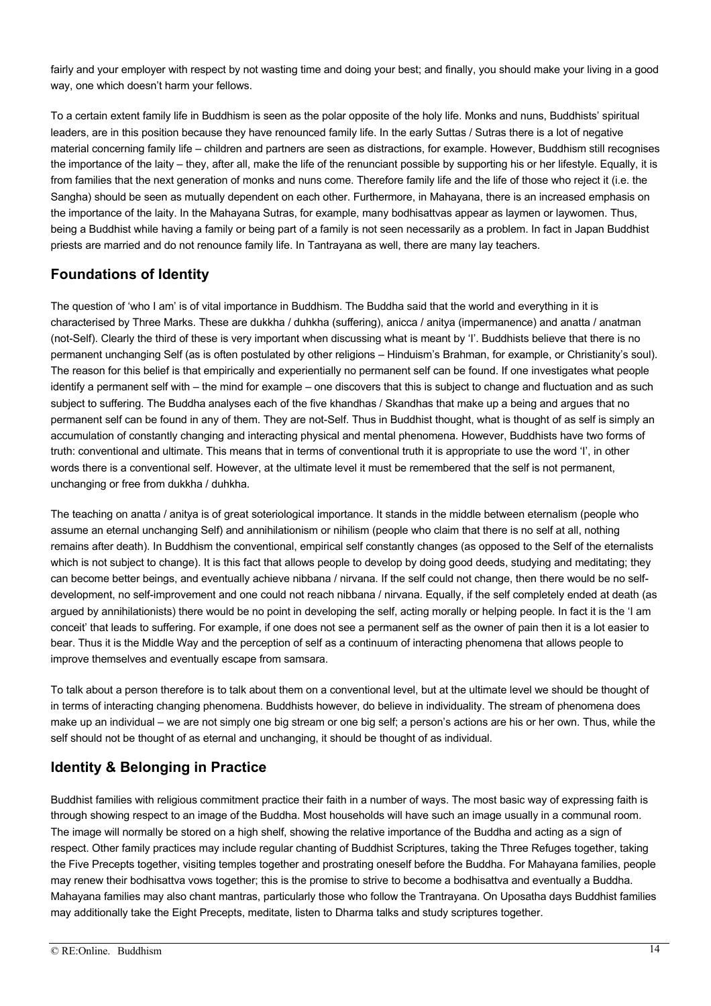fairly and your employer with respect by not wasting time and doing your best; and finally, you should make your living in a good way, one which doesn't harm your fellows.

To a certain extent family life in Buddhism is seen as the polar opposite of the holy life. Monks and nuns, Buddhists' spiritual leaders, are in this position because they have renounced family life. In the early Suttas / Sutras there is a lot of negative material concerning family life – children and partners are seen as distractions, for example. However, Buddhism still recognises the importance of the laity – they, after all, make the life of the renunciant possible by supporting his or her lifestyle. Equally, it is from families that the next generation of monks and nuns come. Therefore family life and the life of those who reject it (i.e. the Sangha) should be seen as mutually dependent on each other. Furthermore, in Mahayana, there is an increased emphasis on the importance of the laity. In the Mahayana Sutras, for example, many bodhisattvas appear as laymen or laywomen. Thus, being a Buddhist while having a family or being part of a family is not seen necessarily as a problem. In fact in Japan Buddhist priests are married and do not renounce family life. In Tantrayana as well, there are many lay teachers.

#### **Foundations of Identity**

The question of 'who I am' is of vital importance in Buddhism. The Buddha said that the world and everything in it is characterised by Three Marks. These are dukkha / duhkha (suffering), anicca / anitya (impermanence) and anatta / anatman (not-Self). Clearly the third of these is very important when discussing what is meant by 'I'. Buddhists believe that there is no permanent unchanging Self (as is often postulated by other religions – Hinduism's Brahman, for example, or Christianity's soul). The reason for this belief is that empirically and experientially no permanent self can be found. If one investigates what people identify a permanent self with – the mind for example – one discovers that this is subject to change and fluctuation and as such subject to suffering. The Buddha analyses each of the five khandhas / Skandhas that make up a being and argues that no permanent self can be found in any of them. They are not-Self. Thus in Buddhist thought, what is thought of as self is simply an accumulation of constantly changing and interacting physical and mental phenomena. However, Buddhists have two forms of truth: conventional and ultimate. This means that in terms of conventional truth it is appropriate to use the word 'I', in other words there is a conventional self. However, at the ultimate level it must be remembered that the self is not permanent, unchanging or free from dukkha / duhkha.

The teaching on anatta / anitya is of great soteriological importance. It stands in the middle between eternalism (people who assume an eternal unchanging Self) and annihilationism or nihilism (people who claim that there is no self at all, nothing remains after death). In Buddhism the conventional, empirical self constantly changes (as opposed to the Self of the eternalists which is not subject to change). It is this fact that allows people to develop by doing good deeds, studying and meditating; they can become better beings, and eventually achieve nibbana / nirvana. If the self could not change, then there would be no selfdevelopment, no self-improvement and one could not reach nibbana / nirvana. Equally, if the self completely ended at death (as argued by annihilationists) there would be no point in developing the self, acting morally or helping people. In fact it is the 'I am conceit' that leads to suffering. For example, if one does not see a permanent self as the owner of pain then it is a lot easier to bear. Thus it is the Middle Way and the perception of self as a continuum of interacting phenomena that allows people to improve themselves and eventually escape from samsara.

To talk about a person therefore is to talk about them on a conventional level, but at the ultimate level we should be thought of in terms of interacting changing phenomena. Buddhists however, do believe in individuality. The stream of phenomena does make up an individual – we are not simply one big stream or one big self; a person's actions are his or her own. Thus, while the self should not be thought of as eternal and unchanging, it should be thought of as individual.

### **Identity & Belonging in Practice**

Buddhist families with religious commitment practice their faith in a number of ways. The most basic way of expressing faith is through showing respect to an image of the Buddha. Most households will have such an image usually in a communal room. The image will normally be stored on a high shelf, showing the relative importance of the Buddha and acting as a sign of respect. Other family practices may include regular chanting of Buddhist Scriptures, taking the Three Refuges together, taking the Five Precepts together, visiting temples together and prostrating oneself before the Buddha. For Mahayana families, people may renew their bodhisattva vows together; this is the promise to strive to become a bodhisattva and eventually a Buddha. Mahayana families may also chant mantras, particularly those who follow the Trantrayana. On Uposatha days Buddhist families may additionally take the Eight Precepts, meditate, listen to Dharma talks and study scriptures together.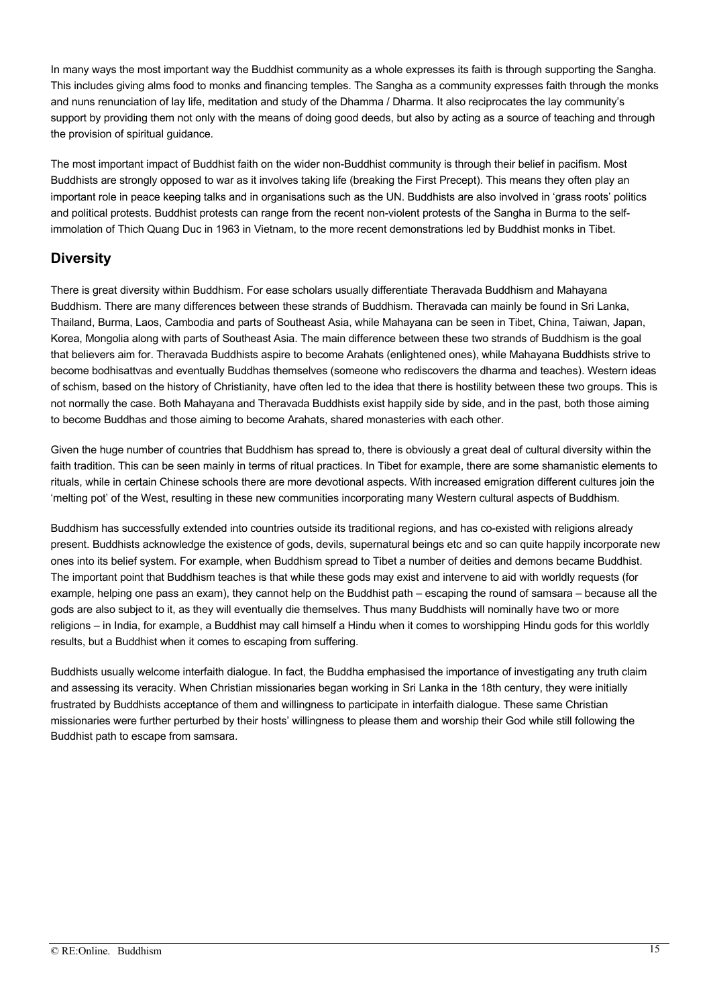In many ways the most important way the Buddhist community as a whole expresses its faith is through supporting the Sangha. This includes giving alms food to monks and financing temples. The Sangha as a community expresses faith through the monks and nuns renunciation of lay life, meditation and study of the Dhamma / Dharma. It also reciprocates the lay community's support by providing them not only with the means of doing good deeds, but also by acting as a source of teaching and through the provision of spiritual guidance.

The most important impact of Buddhist faith on the wider non-Buddhist community is through their belief in pacifism. Most Buddhists are strongly opposed to war as it involves taking life (breaking the First Precept). This means they often play an important role in peace keeping talks and in organisations such as the UN. Buddhists are also involved in 'grass roots' politics and political protests. Buddhist protests can range from the recent non-violent protests of the Sangha in Burma to the selfimmolation of Thich Quang Duc in 1963 in Vietnam, to the more recent demonstrations led by Buddhist monks in Tibet.

#### **Diversity**

There is great diversity within Buddhism. For ease scholars usually differentiate Theravada Buddhism and Mahayana Buddhism. There are many differences between these strands of Buddhism. Theravada can mainly be found in Sri Lanka, Thailand, Burma, Laos, Cambodia and parts of Southeast Asia, while Mahayana can be seen in Tibet, China, Taiwan, Japan, Korea, Mongolia along with parts of Southeast Asia. The main difference between these two strands of Buddhism is the goal that believers aim for. Theravada Buddhists aspire to become Arahats (enlightened ones), while Mahayana Buddhists strive to become bodhisattvas and eventually Buddhas themselves (someone who rediscovers the dharma and teaches). Western ideas of schism, based on the history of Christianity, have often led to the idea that there is hostility between these two groups. This is not normally the case. Both Mahayana and Theravada Buddhists exist happily side by side, and in the past, both those aiming to become Buddhas and those aiming to become Arahats, shared monasteries with each other.

Given the huge number of countries that Buddhism has spread to, there is obviously a great deal of cultural diversity within the faith tradition. This can be seen mainly in terms of ritual practices. In Tibet for example, there are some shamanistic elements to rituals, while in certain Chinese schools there are more devotional aspects. With increased emigration different cultures join the 'melting pot' of the West, resulting in these new communities incorporating many Western cultural aspects of Buddhism.

Buddhism has successfully extended into countries outside its traditional regions, and has co-existed with religions already present. Buddhists acknowledge the existence of gods, devils, supernatural beings etc and so can quite happily incorporate new ones into its belief system. For example, when Buddhism spread to Tibet a number of deities and demons became Buddhist. The important point that Buddhism teaches is that while these gods may exist and intervene to aid with worldly requests (for example, helping one pass an exam), they cannot help on the Buddhist path – escaping the round of samsara – because all the gods are also subject to it, as they will eventually die themselves. Thus many Buddhists will nominally have two or more religions – in India, for example, a Buddhist may call himself a Hindu when it comes to worshipping Hindu gods for this worldly results, but a Buddhist when it comes to escaping from suffering.

Buddhists usually welcome interfaith dialogue. In fact, the Buddha emphasised the importance of investigating any truth claim and assessing its veracity. When Christian missionaries began working in Sri Lanka in the 18th century, they were initially frustrated by Buddhists acceptance of them and willingness to participate in interfaith dialogue. These same Christian missionaries were further perturbed by their hosts' willingness to please them and worship their God while still following the Buddhist path to escape from samsara.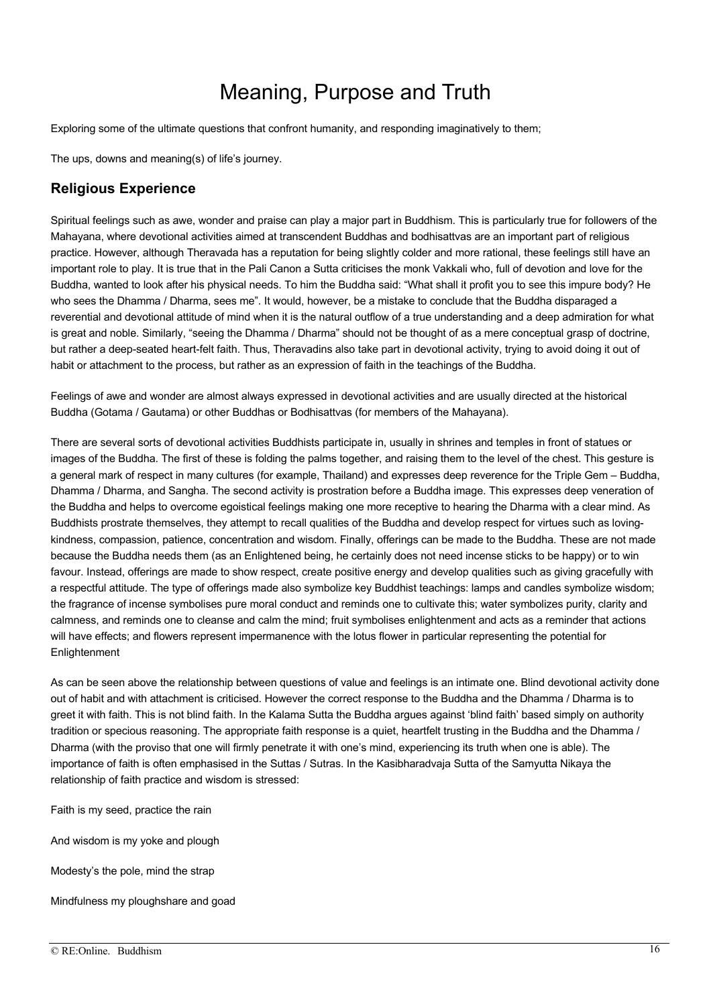## Meaning, Purpose and Truth

Exploring some of the ultimate questions that confront humanity, and responding imaginatively to them;

The ups, downs and meaning(s) of life's journey.

#### **Religious Experience**

Spiritual feelings such as awe, wonder and praise can play a major part in Buddhism. This is particularly true for followers of the Mahayana, where devotional activities aimed at transcendent Buddhas and bodhisattvas are an important part of religious practice. However, although Theravada has a reputation for being slightly colder and more rational, these feelings still have an important role to play. It is true that in the Pali Canon a Sutta criticises the monk Vakkali who, full of devotion and love for the Buddha, wanted to look after his physical needs. To him the Buddha said: "What shall it profit you to see this impure body? He who sees the Dhamma / Dharma, sees me". It would, however, be a mistake to conclude that the Buddha disparaged a reverential and devotional attitude of mind when it is the natural outflow of a true understanding and a deep admiration for what is great and noble. Similarly, "seeing the Dhamma / Dharma" should not be thought of as a mere conceptual grasp of doctrine, but rather a deep-seated heart-felt faith. Thus, Theravadins also take part in devotional activity, trying to avoid doing it out of habit or attachment to the process, but rather as an expression of faith in the teachings of the Buddha.

Feelings of awe and wonder are almost always expressed in devotional activities and are usually directed at the historical Buddha (Gotama / Gautama) or other Buddhas or Bodhisattvas (for members of the Mahayana).

There are several sorts of devotional activities Buddhists participate in, usually in shrines and temples in front of statues or images of the Buddha. The first of these is folding the palms together, and raising them to the level of the chest. This gesture is a general mark of respect in many cultures (for example, Thailand) and expresses deep reverence for the Triple Gem – Buddha, Dhamma / Dharma, and Sangha. The second activity is prostration before a Buddha image. This expresses deep veneration of the Buddha and helps to overcome egoistical feelings making one more receptive to hearing the Dharma with a clear mind. As Buddhists prostrate themselves, they attempt to recall qualities of the Buddha and develop respect for virtues such as lovingkindness, compassion, patience, concentration and wisdom. Finally, offerings can be made to the Buddha. These are not made because the Buddha needs them (as an Enlightened being, he certainly does not need incense sticks to be happy) or to win favour. Instead, offerings are made to show respect, create positive energy and develop qualities such as giving gracefully with a respectful attitude. The type of offerings made also symbolize key Buddhist teachings: lamps and candles symbolize wisdom; the fragrance of incense symbolises pure moral conduct and reminds one to cultivate this; water symbolizes purity, clarity and calmness, and reminds one to cleanse and calm the mind; fruit symbolises enlightenment and acts as a reminder that actions will have effects; and flowers represent impermanence with the lotus flower in particular representing the potential for **Enlightenment** 

As can be seen above the relationship between questions of value and feelings is an intimate one. Blind devotional activity done out of habit and with attachment is criticised. However the correct response to the Buddha and the Dhamma / Dharma is to greet it with faith. This is not blind faith. In the Kalama Sutta the Buddha argues against 'blind faith' based simply on authority tradition or specious reasoning. The appropriate faith response is a quiet, heartfelt trusting in the Buddha and the Dhamma / Dharma (with the proviso that one will firmly penetrate it with one's mind, experiencing its truth when one is able). The importance of faith is often emphasised in the Suttas / Sutras. In the Kasibharadvaja Sutta of the Samyutta Nikaya the relationship of faith practice and wisdom is stressed:

Faith is my seed, practice the rain

And wisdom is my yoke and plough

Modesty's the pole, mind the strap

Mindfulness my ploughshare and goad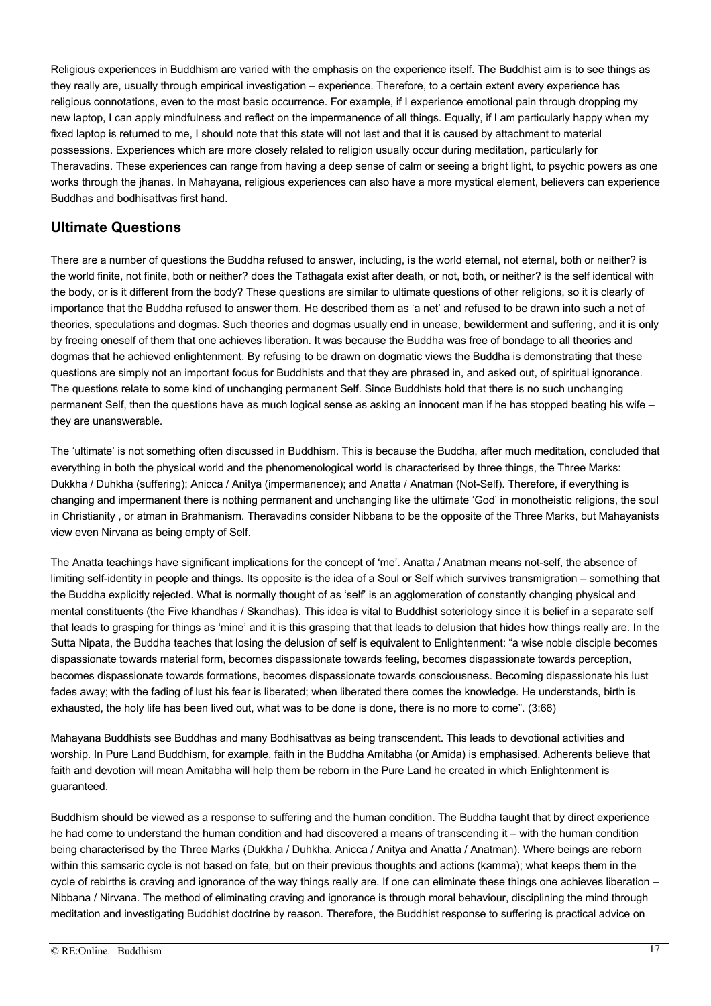Religious experiences in Buddhism are varied with the emphasis on the experience itself. The Buddhist aim is to see things as they really are, usually through empirical investigation – experience. Therefore, to a certain extent every experience has religious connotations, even to the most basic occurrence. For example, if I experience emotional pain through dropping my new laptop, I can apply mindfulness and reflect on the impermanence of all things. Equally, if I am particularly happy when my fixed laptop is returned to me, I should note that this state will not last and that it is caused by attachment to material possessions. Experiences which are more closely related to religion usually occur during meditation, particularly for Theravadins. These experiences can range from having a deep sense of calm or seeing a bright light, to psychic powers as one works through the jhanas. In Mahayana, religious experiences can also have a more mystical element, believers can experience Buddhas and bodhisattvas first hand.

#### **Ultimate Questions**

There are a number of questions the Buddha refused to answer, including, is the world eternal, not eternal, both or neither? is the world finite, not finite, both or neither? does the Tathagata exist after death, or not, both, or neither? is the self identical with the body, or is it different from the body? These questions are similar to ultimate questions of other religions, so it is clearly of importance that the Buddha refused to answer them. He described them as 'a net' and refused to be drawn into such a net of theories, speculations and dogmas. Such theories and dogmas usually end in unease, bewilderment and suffering, and it is only by freeing oneself of them that one achieves liberation. It was because the Buddha was free of bondage to all theories and dogmas that he achieved enlightenment. By refusing to be drawn on dogmatic views the Buddha is demonstrating that these questions are simply not an important focus for Buddhists and that they are phrased in, and asked out, of spiritual ignorance. The questions relate to some kind of unchanging permanent Self. Since Buddhists hold that there is no such unchanging permanent Self, then the questions have as much logical sense as asking an innocent man if he has stopped beating his wife – they are unanswerable.

The 'ultimate' is not something often discussed in Buddhism. This is because the Buddha, after much meditation, concluded that everything in both the physical world and the phenomenological world is characterised by three things, the Three Marks: Dukkha / Duhkha (suffering); Anicca / Anitya (impermanence); and Anatta / Anatman (Not-Self). Therefore, if everything is changing and impermanent there is nothing permanent and unchanging like the ultimate 'God' in monotheistic religions, the soul in Christianity , or atman in Brahmanism. Theravadins consider Nibbana to be the opposite of the Three Marks, but Mahayanists view even Nirvana as being empty of Self.

The Anatta teachings have significant implications for the concept of 'me'. Anatta / Anatman means not-self, the absence of limiting self-identity in people and things. Its opposite is the idea of a Soul or Self which survives transmigration – something that the Buddha explicitly rejected. What is normally thought of as 'self' is an agglomeration of constantly changing physical and mental constituents (the Five khandhas / Skandhas). This idea is vital to Buddhist soteriology since it is belief in a separate self that leads to grasping for things as 'mine' and it is this grasping that that leads to delusion that hides how things really are. In the Sutta Nipata, the Buddha teaches that losing the delusion of self is equivalent to Enlightenment: "a wise noble disciple becomes dispassionate towards material form, becomes dispassionate towards feeling, becomes dispassionate towards perception, becomes dispassionate towards formations, becomes dispassionate towards consciousness. Becoming dispassionate his lust fades away; with the fading of lust his fear is liberated; when liberated there comes the knowledge. He understands, birth is exhausted, the holy life has been lived out, what was to be done is done, there is no more to come". (3:66)

Mahayana Buddhists see Buddhas and many Bodhisattvas as being transcendent. This leads to devotional activities and worship. In Pure Land Buddhism, for example, faith in the Buddha Amitabha (or Amida) is emphasised. Adherents believe that faith and devotion will mean Amitabha will help them be reborn in the Pure Land he created in which Enlightenment is guaranteed.

Buddhism should be viewed as a response to suffering and the human condition. The Buddha taught that by direct experience he had come to understand the human condition and had discovered a means of transcending it – with the human condition being characterised by the Three Marks (Dukkha / Duhkha, Anicca / Anitya and Anatta / Anatman). Where beings are reborn within this samsaric cycle is not based on fate, but on their previous thoughts and actions (kamma); what keeps them in the cycle of rebirths is craving and ignorance of the way things really are. If one can eliminate these things one achieves liberation – Nibbana / Nirvana. The method of eliminating craving and ignorance is through moral behaviour, disciplining the mind through meditation and investigating Buddhist doctrine by reason. Therefore, the Buddhist response to suffering is practical advice on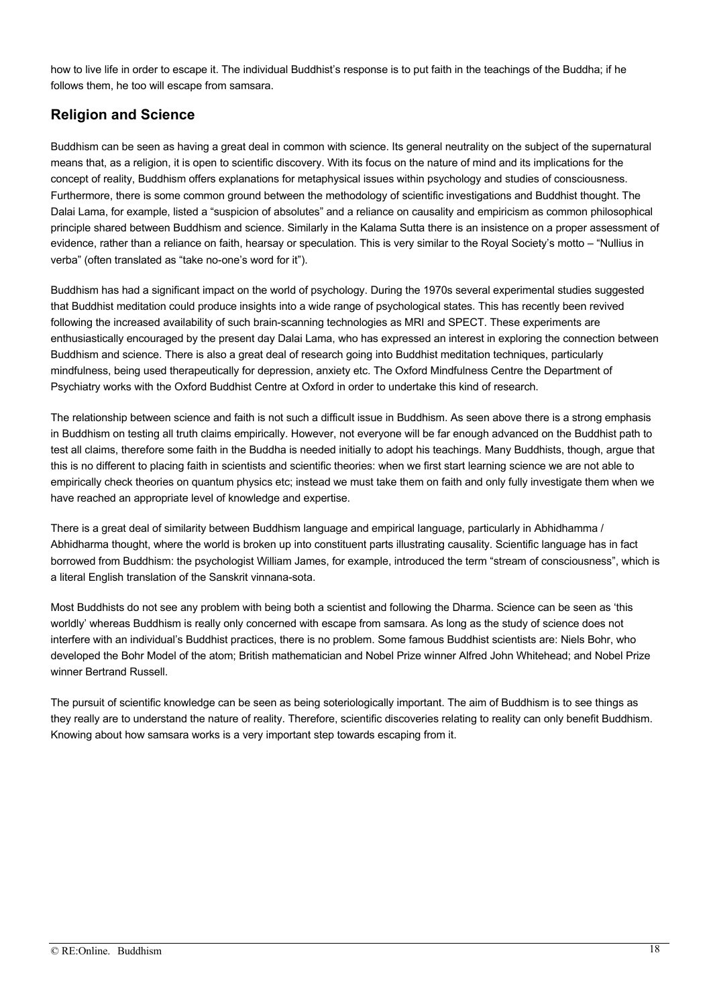how to live life in order to escape it. The individual Buddhist's response is to put faith in the teachings of the Buddha; if he follows them, he too will escape from samsara.

#### **Religion and Science**

Buddhism can be seen as having a great deal in common with science. Its general neutrality on the subject of the supernatural means that, as a religion, it is open to scientific discovery. With its focus on the nature of mind and its implications for the concept of reality, Buddhism offers explanations for metaphysical issues within psychology and studies of consciousness. Furthermore, there is some common ground between the methodology of scientific investigations and Buddhist thought. The Dalai Lama, for example, listed a "suspicion of absolutes" and a reliance on causality and empiricism as common philosophical principle shared between Buddhism and science. Similarly in the Kalama Sutta there is an insistence on a proper assessment of evidence, rather than a reliance on faith, hearsay or speculation. This is very similar to the Royal Society's motto – "Nullius in verba" (often translated as "take no-one's word for it").

Buddhism has had a significant impact on the world of psychology. During the 1970s several experimental studies suggested that Buddhist meditation could produce insights into a wide range of psychological states. This has recently been revived following the increased availability of such brain-scanning technologies as MRI and SPECT. These experiments are enthusiastically encouraged by the present day Dalai Lama, who has expressed an interest in exploring the connection between Buddhism and science. There is also a great deal of research going into Buddhist meditation techniques, particularly mindfulness, being used therapeutically for depression, anxiety etc. The Oxford Mindfulness Centre the Department of Psychiatry works with the Oxford Buddhist Centre at Oxford in order to undertake this kind of research.

The relationship between science and faith is not such a difficult issue in Buddhism. As seen above there is a strong emphasis in Buddhism on testing all truth claims empirically. However, not everyone will be far enough advanced on the Buddhist path to test all claims, therefore some faith in the Buddha is needed initially to adopt his teachings. Many Buddhists, though, argue that this is no different to placing faith in scientists and scientific theories: when we first start learning science we are not able to empirically check theories on quantum physics etc; instead we must take them on faith and only fully investigate them when we have reached an appropriate level of knowledge and expertise.

There is a great deal of similarity between Buddhism language and empirical language, particularly in Abhidhamma / Abhidharma thought, where the world is broken up into constituent parts illustrating causality. Scientific language has in fact borrowed from Buddhism: the psychologist William James, for example, introduced the term "stream of consciousness", which is a literal English translation of the Sanskrit vinnana-sota.

Most Buddhists do not see any problem with being both a scientist and following the Dharma. Science can be seen as 'this worldly' whereas Buddhism is really only concerned with escape from samsara. As long as the study of science does not interfere with an individual's Buddhist practices, there is no problem. Some famous Buddhist scientists are: Niels Bohr, who developed the Bohr Model of the atom; British mathematician and Nobel Prize winner Alfred John Whitehead; and Nobel Prize winner Bertrand Russell.

The pursuit of scientific knowledge can be seen as being soteriologically important. The aim of Buddhism is to see things as they really are to understand the nature of reality. Therefore, scientific discoveries relating to reality can only benefit Buddhism. Knowing about how samsara works is a very important step towards escaping from it.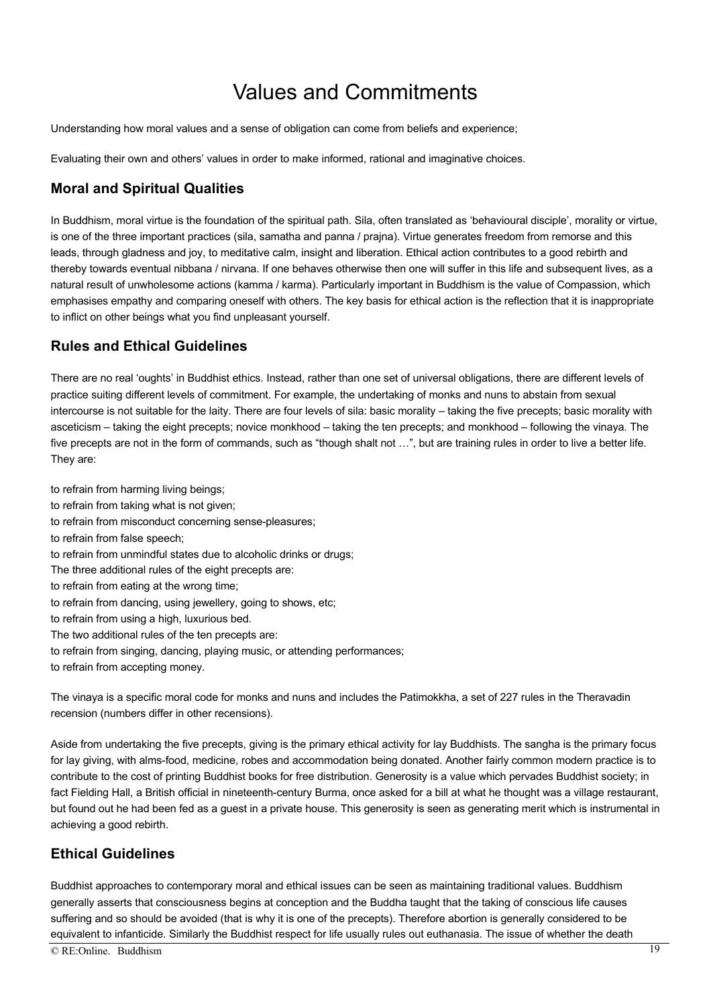## Values and Commitments

Understanding how moral values and a sense of obligation can come from beliefs and experience;

Evaluating their own and others' values in order to make informed, rational and imaginative choices.

#### **Moral and Spiritual Qualities**

In Buddhism, moral virtue is the foundation of the spiritual path. Sila, often translated as 'behavioural disciple', morality or virtue, is one of the three important practices (sila, samatha and panna / prajna). Virtue generates freedom from remorse and this leads, through gladness and joy, to meditative calm, insight and liberation. Ethical action contributes to a good rebirth and thereby towards eventual nibbana / nirvana. If one behaves otherwise then one will suffer in this life and subsequent lives, as a natural result of unwholesome actions (kamma / karma). Particularly important in Buddhism is the value of Compassion, which emphasises empathy and comparing oneself with others. The key basis for ethical action is the reflection that it is inappropriate to inflict on other beings what you find unpleasant yourself.

#### **Rules and Ethical Guidelines**

There are no real 'oughts' in Buddhist ethics. Instead, rather than one set of universal obligations, there are different levels of practice suiting different levels of commitment. For example, the undertaking of monks and nuns to abstain from sexual intercourse is not suitable for the laity. There are four levels of sila: basic morality – taking the five precepts; basic morality with asceticism – taking the eight precepts; novice monkhood – taking the ten precepts; and monkhood – following the vinaya. The five precepts are not in the form of commands, such as "though shalt not …", but are training rules in order to live a better life. They are:

to refrain from harming living beings; to refrain from taking what is not given; to refrain from misconduct concerning sense-pleasures; to refrain from false speech; to refrain from unmindful states due to alcoholic drinks or drugs; The three additional rules of the eight precepts are: to refrain from eating at the wrong time; to refrain from dancing, using jewellery, going to shows, etc;

- to refrain from using a high, luxurious bed.
- The two additional rules of the ten precepts are:
- to refrain from singing, dancing, playing music, or attending performances;

to refrain from accepting money.

The vinaya is a specific moral code for monks and nuns and includes the Patimokkha, a set of 227 rules in the Theravadin recension (numbers differ in other recensions).

Aside from undertaking the five precepts, giving is the primary ethical activity for lay Buddhists. The sangha is the primary focus for lay giving, with alms-food, medicine, robes and accommodation being donated. Another fairly common modern practice is to contribute to the cost of printing Buddhist books for free distribution. Generosity is a value which pervades Buddhist society; in fact Fielding Hall, a British official in nineteenth-century Burma, once asked for a bill at what he thought was a village restaurant, but found out he had been fed as a guest in a private house. This generosity is seen as generating merit which is instrumental in achieving a good rebirth.

### **Ethical Guidelines**

Buddhist approaches to contemporary moral and ethical issues can be seen as maintaining traditional values. Buddhism generally asserts that consciousness begins at conception and the Buddha taught that the taking of conscious life causes suffering and so should be avoided (that is why it is one of the precepts). Therefore abortion is generally considered to be equivalent to infanticide. Similarly the Buddhist respect for life usually rules out euthanasia. The issue of whether the death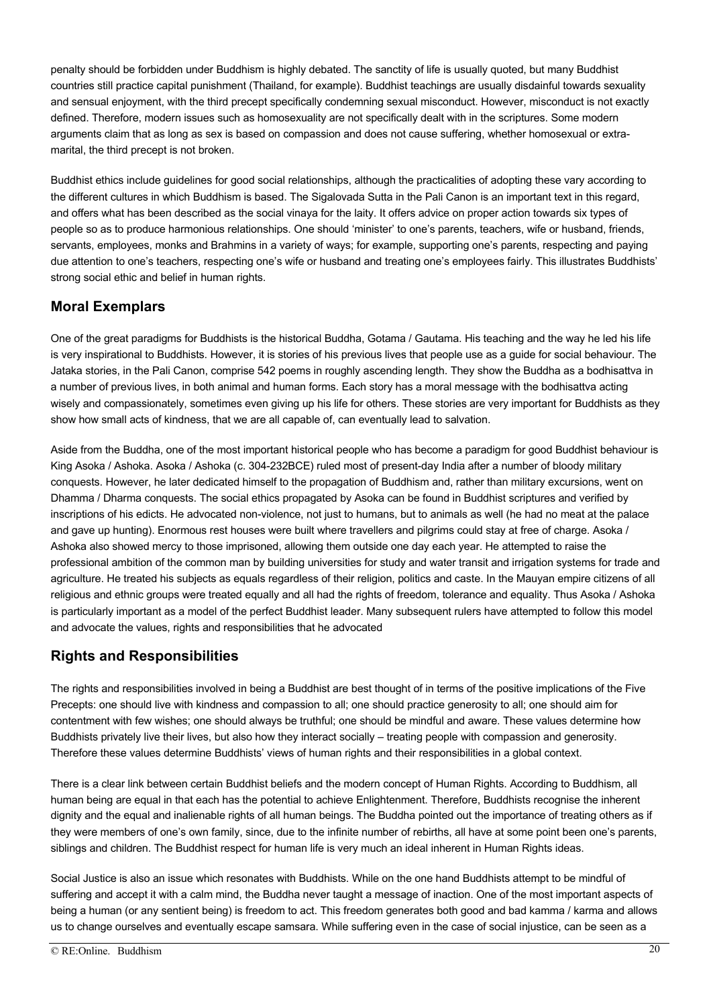penalty should be forbidden under Buddhism is highly debated. The sanctity of life is usually quoted, but many Buddhist countries still practice capital punishment (Thailand, for example). Buddhist teachings are usually disdainful towards sexuality and sensual enjoyment, with the third precept specifically condemning sexual misconduct. However, misconduct is not exactly defined. Therefore, modern issues such as homosexuality are not specifically dealt with in the scriptures. Some modern arguments claim that as long as sex is based on compassion and does not cause suffering, whether homosexual or extramarital, the third precept is not broken.

Buddhist ethics include guidelines for good social relationships, although the practicalities of adopting these vary according to the different cultures in which Buddhism is based. The Sigalovada Sutta in the Pali Canon is an important text in this regard, and offers what has been described as the social vinaya for the laity. It offers advice on proper action towards six types of people so as to produce harmonious relationships. One should 'minister' to one's parents, teachers, wife or husband, friends, servants, employees, monks and Brahmins in a variety of ways; for example, supporting one's parents, respecting and paying due attention to one's teachers, respecting one's wife or husband and treating one's employees fairly. This illustrates Buddhists' strong social ethic and belief in human rights.

### **Moral Exemplars**

One of the great paradigms for Buddhists is the historical Buddha, Gotama / Gautama. His teaching and the way he led his life is very inspirational to Buddhists. However, it is stories of his previous lives that people use as a guide for social behaviour. The Jataka stories, in the Pali Canon, comprise 542 poems in roughly ascending length. They show the Buddha as a bodhisattva in a number of previous lives, in both animal and human forms. Each story has a moral message with the bodhisattva acting wisely and compassionately, sometimes even giving up his life for others. These stories are very important for Buddhists as they show how small acts of kindness, that we are all capable of, can eventually lead to salvation.

Aside from the Buddha, one of the most important historical people who has become a paradigm for good Buddhist behaviour is King Asoka / Ashoka. Asoka / Ashoka (c. 304-232BCE) ruled most of present-day India after a number of bloody military conquests. However, he later dedicated himself to the propagation of Buddhism and, rather than military excursions, went on Dhamma / Dharma conquests. The social ethics propagated by Asoka can be found in Buddhist scriptures and verified by inscriptions of his edicts. He advocated non-violence, not just to humans, but to animals as well (he had no meat at the palace and gave up hunting). Enormous rest houses were built where travellers and pilgrims could stay at free of charge. Asoka / Ashoka also showed mercy to those imprisoned, allowing them outside one day each year. He attempted to raise the professional ambition of the common man by building universities for study and water transit and irrigation systems for trade and agriculture. He treated his subjects as equals regardless of their religion, politics and caste. In the Mauyan empire citizens of all religious and ethnic groups were treated equally and all had the rights of freedom, tolerance and equality. Thus Asoka / Ashoka is particularly important as a model of the perfect Buddhist leader. Many subsequent rulers have attempted to follow this model and advocate the values, rights and responsibilities that he advocated

#### **Rights and Responsibilities**

The rights and responsibilities involved in being a Buddhist are best thought of in terms of the positive implications of the Five Precepts: one should live with kindness and compassion to all; one should practice generosity to all; one should aim for contentment with few wishes; one should always be truthful; one should be mindful and aware. These values determine how Buddhists privately live their lives, but also how they interact socially – treating people with compassion and generosity. Therefore these values determine Buddhists' views of human rights and their responsibilities in a global context.

There is a clear link between certain Buddhist beliefs and the modern concept of Human Rights. According to Buddhism, all human being are equal in that each has the potential to achieve Enlightenment. Therefore, Buddhists recognise the inherent dignity and the equal and inalienable rights of all human beings. The Buddha pointed out the importance of treating others as if they were members of one's own family, since, due to the infinite number of rebirths, all have at some point been one's parents, siblings and children. The Buddhist respect for human life is very much an ideal inherent in Human Rights ideas.

Social Justice is also an issue which resonates with Buddhists. While on the one hand Buddhists attempt to be mindful of suffering and accept it with a calm mind, the Buddha never taught a message of inaction. One of the most important aspects of being a human (or any sentient being) is freedom to act. This freedom generates both good and bad kamma / karma and allows us to change ourselves and eventually escape samsara. While suffering even in the case of social injustice, can be seen as a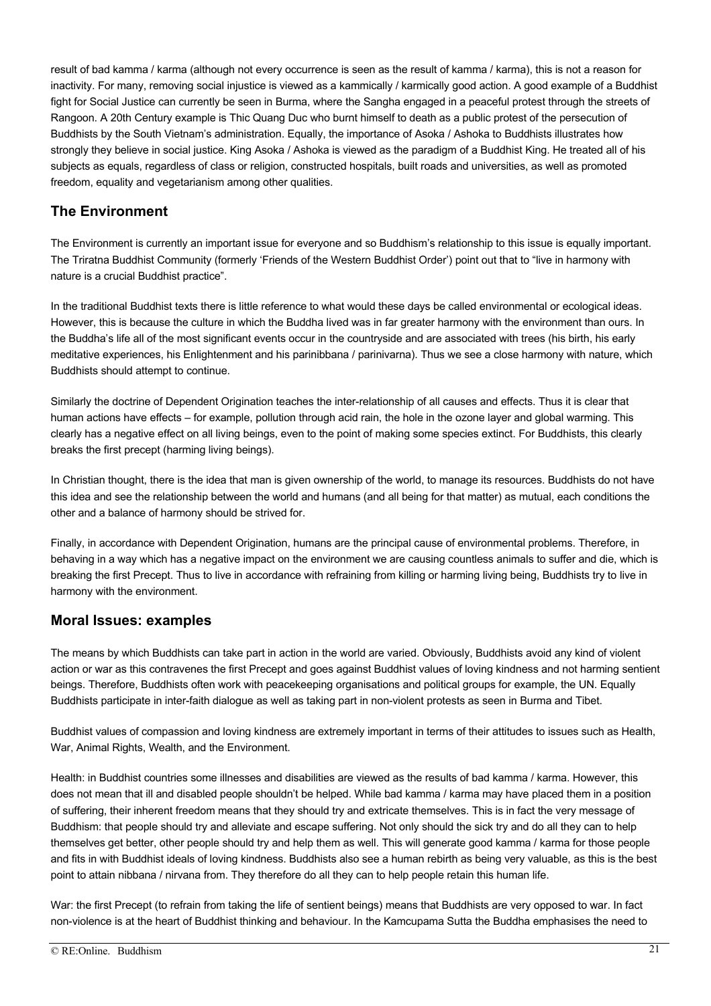result of bad kamma / karma (although not every occurrence is seen as the result of kamma / karma), this is not a reason for inactivity. For many, removing social injustice is viewed as a kammically / karmically good action. A good example of a Buddhist fight for Social Justice can currently be seen in Burma, where the Sangha engaged in a peaceful protest through the streets of Rangoon. A 20th Century example is Thic Quang Duc who burnt himself to death as a public protest of the persecution of Buddhists by the South Vietnam's administration. Equally, the importance of Asoka / Ashoka to Buddhists illustrates how strongly they believe in social justice. King Asoka / Ashoka is viewed as the paradigm of a Buddhist King. He treated all of his subjects as equals, regardless of class or religion, constructed hospitals, built roads and universities, as well as promoted freedom, equality and vegetarianism among other qualities.

### **The Environment**

The Environment is currently an important issue for everyone and so Buddhism's relationship to this issue is equally important. The Triratna Buddhist Community (formerly 'Friends of the Western Buddhist Order') point out that to "live in harmony with nature is a crucial Buddhist practice".

In the traditional Buddhist texts there is little reference to what would these days be called environmental or ecological ideas. However, this is because the culture in which the Buddha lived was in far greater harmony with the environment than ours. In the Buddha's life all of the most significant events occur in the countryside and are associated with trees (his birth, his early meditative experiences, his Enlightenment and his parinibbana / parinivarna). Thus we see a close harmony with nature, which Buddhists should attempt to continue.

Similarly the doctrine of Dependent Origination teaches the inter-relationship of all causes and effects. Thus it is clear that human actions have effects – for example, pollution through acid rain, the hole in the ozone layer and global warming. This clearly has a negative effect on all living beings, even to the point of making some species extinct. For Buddhists, this clearly breaks the first precept (harming living beings).

In Christian thought, there is the idea that man is given ownership of the world, to manage its resources. Buddhists do not have this idea and see the relationship between the world and humans (and all being for that matter) as mutual, each conditions the other and a balance of harmony should be strived for.

Finally, in accordance with Dependent Origination, humans are the principal cause of environmental problems. Therefore, in behaving in a way which has a negative impact on the environment we are causing countless animals to suffer and die, which is breaking the first Precept. Thus to live in accordance with refraining from killing or harming living being, Buddhists try to live in harmony with the environment.

### **Moral Issues: examples**

The means by which Buddhists can take part in action in the world are varied. Obviously, Buddhists avoid any kind of violent action or war as this contravenes the first Precept and goes against Buddhist values of loving kindness and not harming sentient beings. Therefore, Buddhists often work with peacekeeping organisations and political groups for example, the UN. Equally Buddhists participate in inter-faith dialogue as well as taking part in non-violent protests as seen in Burma and Tibet.

Buddhist values of compassion and loving kindness are extremely important in terms of their attitudes to issues such as Health, War, Animal Rights, Wealth, and the Environment.

Health: in Buddhist countries some illnesses and disabilities are viewed as the results of bad kamma / karma. However, this does not mean that ill and disabled people shouldn't be helped. While bad kamma / karma may have placed them in a position of suffering, their inherent freedom means that they should try and extricate themselves. This is in fact the very message of Buddhism: that people should try and alleviate and escape suffering. Not only should the sick try and do all they can to help themselves get better, other people should try and help them as well. This will generate good kamma / karma for those people and fits in with Buddhist ideals of loving kindness. Buddhists also see a human rebirth as being very valuable, as this is the best point to attain nibbana / nirvana from. They therefore do all they can to help people retain this human life.

War: the first Precept (to refrain from taking the life of sentient beings) means that Buddhists are very opposed to war. In fact non-violence is at the heart of Buddhist thinking and behaviour. In the Kamcupama Sutta the Buddha emphasises the need to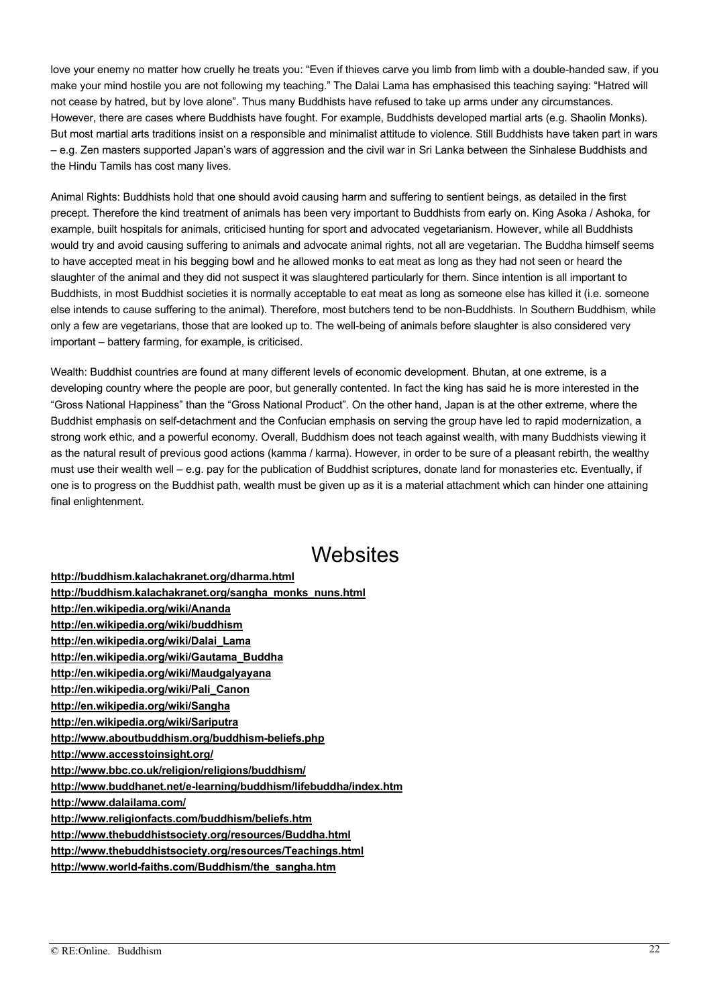love your enemy no matter how cruelly he treats you: "Even if thieves carve you limb from limb with a double-handed saw, if you make your mind hostile you are not following my teaching." The Dalai Lama has emphasised this teaching saying: "Hatred will not cease by hatred, but by love alone". Thus many Buddhists have refused to take up arms under any circumstances. However, there are cases where Buddhists have fought. For example, Buddhists developed martial arts (e.g. Shaolin Monks). But most martial arts traditions insist on a responsible and minimalist attitude to violence. Still Buddhists have taken part in wars – e.g. Zen masters supported Japan's wars of aggression and the civil war in Sri Lanka between the Sinhalese Buddhists and the Hindu Tamils has cost many lives.

Animal Rights: Buddhists hold that one should avoid causing harm and suffering to sentient beings, as detailed in the first precept. Therefore the kind treatment of animals has been very important to Buddhists from early on. King Asoka / Ashoka, for example, built hospitals for animals, criticised hunting for sport and advocated vegetarianism. However, while all Buddhists would try and avoid causing suffering to animals and advocate animal rights, not all are vegetarian. The Buddha himself seems to have accepted meat in his begging bowl and he allowed monks to eat meat as long as they had not seen or heard the slaughter of the animal and they did not suspect it was slaughtered particularly for them. Since intention is all important to Buddhists, in most Buddhist societies it is normally acceptable to eat meat as long as someone else has killed it (i.e. someone else intends to cause suffering to the animal). Therefore, most butchers tend to be non-Buddhists. In Southern Buddhism, while only a few are vegetarians, those that are looked up to. The well-being of animals before slaughter is also considered very important – battery farming, for example, is criticised.

Wealth: Buddhist countries are found at many different levels of economic development. Bhutan, at one extreme, is a developing country where the people are poor, but generally contented. In fact the king has said he is more interested in the "Gross National Happiness" than the "Gross National Product". On the other hand, Japan is at the other extreme, where the Buddhist emphasis on self-detachment and the Confucian emphasis on serving the group have led to rapid modernization, a strong work ethic, and a powerful economy. Overall, Buddhism does not teach against wealth, with many Buddhists viewing it as the natural result of previous good actions (kamma / karma). However, in order to be sure of a pleasant rebirth, the wealthy must use their wealth well – e.g. pay for the publication of Buddhist scriptures, donate land for monasteries etc. Eventually, if one is to progress on the Buddhist path, wealth must be given up as it is a material attachment which can hinder one attaining final enlightenment.

## **Websites**